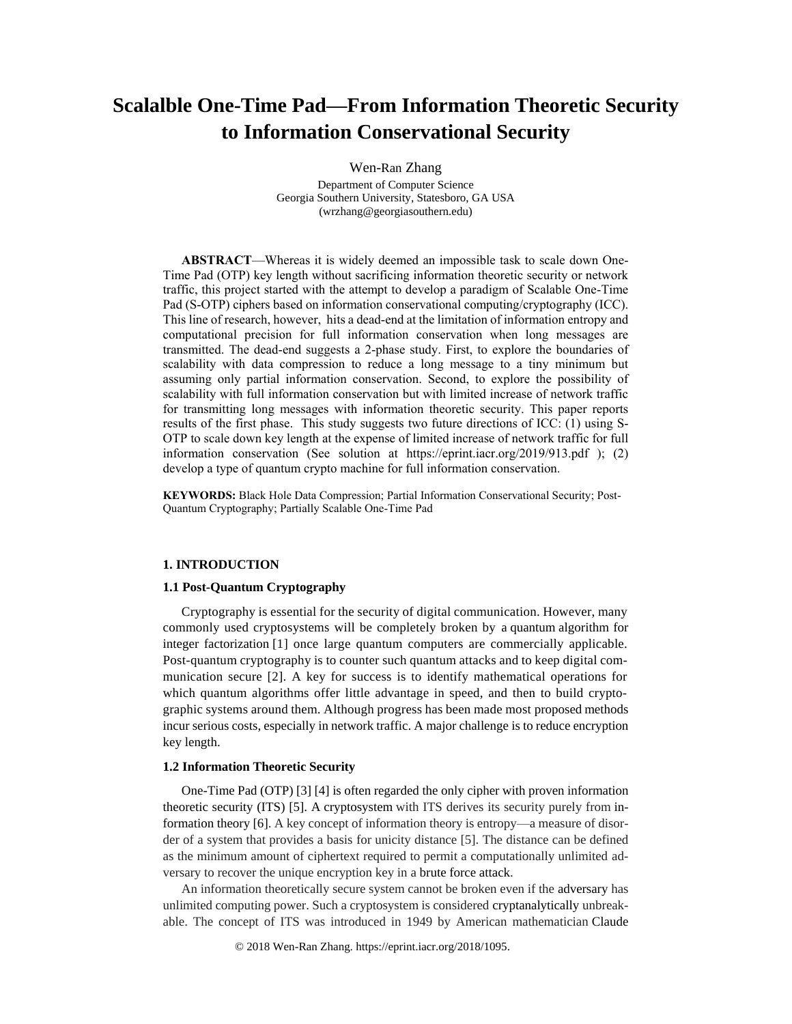# **Scalalble One-Time Pad—From Information Theoretic Security to Information Conservational Security**

Wen-Ran Zhang

Department of Computer Science Georgia Southern University, Statesboro, GA USA (wrzhang@georgiasouthern.edu)

**ABSTRACT**—Whereas it is widely deemed an impossible task to scale down One-Time Pad (OTP) key length without sacrificing information theoretic security or network traffic, this project started with the attempt to develop a paradigm of Scalable One-Time Pad (S-OTP) ciphers based on information conservational computing/cryptography (ICC). This line of research, however, hits a dead-end at the limitation of information entropy and computational precision for full information conservation when long messages are transmitted. The dead-end suggests a 2-phase study. First, to explore the boundaries of scalability with data compression to reduce a long message to a tiny minimum but assuming only partial information conservation. Second, to explore the possibility of scalability with full information conservation but with limited increase of network traffic for transmitting long messages with information theoretic security. This paper reports results of the first phase. This study suggests two future directions of ICC: (1) using S-OTP to scale down key length at the expense of limited increase of network traffic for full information conservation (See solution at https://eprint.iacr.org/2019/913.pdf ); (2) develop a type of quantum crypto machine for full information conservation.

**KEYWORDS:** Black Hole Data Compression; Partial Information Conservational Security; Post-Quantum Cryptography; Partially Scalable One-Time Pad

# **1. INTRODUCTION**

## **1.1 Post-Quantum Cryptography**

Cryptography is essential for the security of digital communication. However, many commonly used cryptosystems will be completely broken by a quantum algorithm for integer factorization [1] once large quantum computers are commercially applicable. Post-quantum cryptography is to counter such quantum attacks and to keep digital communication secure [2]. A key for success is to identify mathematical operations for which quantum algorithms offer little advantage in speed, and then to build cryptographic systems around them. Although progress has been made most proposed methods incur serious costs, especially in network traffic. A major challenge is to reduce encryption key length.

# **1.2 Information Theoretic Security**

One-Time Pad (OTP) [3] [4] is often regarded the only cipher with proven information theoretic security (ITS) [5]. A cryptosystem with ITS derives its security purely from information theory [6]. A key concept of information theory is entropy—a measure of disorder of a system that provides a basis for unicity distance [5]. The distance can be defined as the minimum amount of ciphertext required to permit a computationally unlimited adversary to recover the unique encryption key in a brute force attack.

An information theoretically secure system cannot be broken even if the adversary has unlimited computing power. Such a cryptosystem is considered cryptanalytically unbreakable. The concept of ITS was introduced in 1949 by American mathematician Claude

© 2018 Wen-Ran Zhang. https://eprint.iacr.org/2018/1095.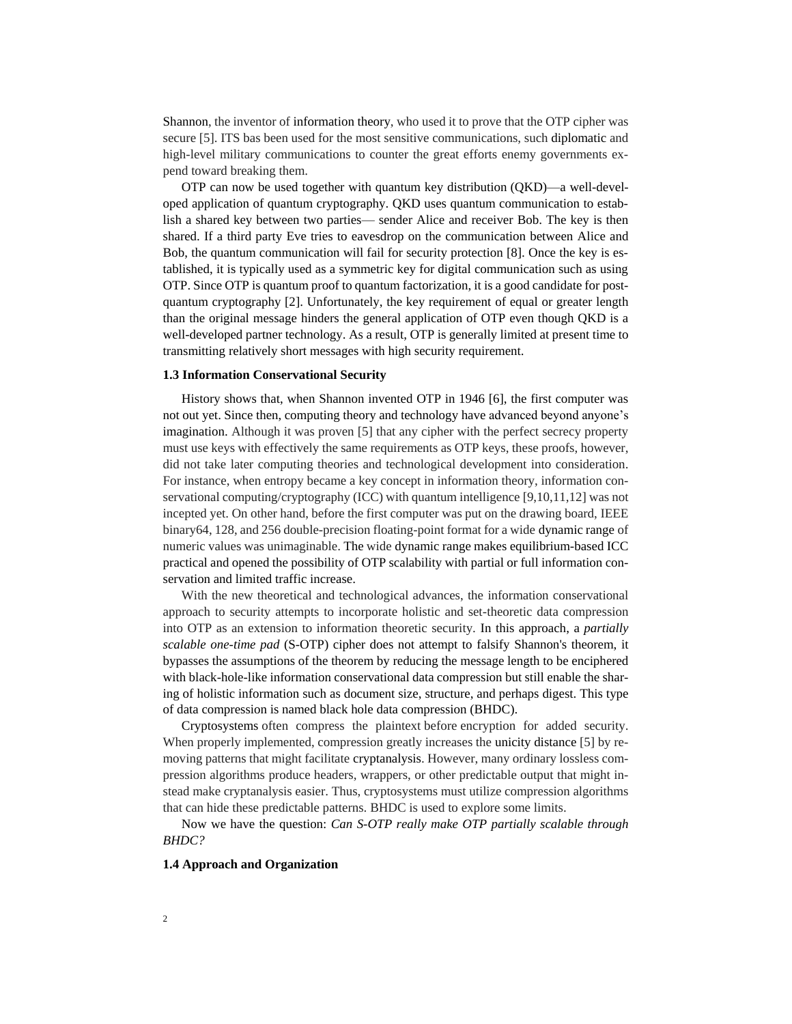Shannon, the inventor of information theory, who used it to prove that the OTP cipher was secure [5]. ITS bas been used for the most sensitive communications, such diplomatic and high-level military communications to counter the great efforts enemy governments expend toward breaking them.

OTP can now be used together with quantum key distribution (QKD)—a well-developed application of quantum cryptography. QKD uses quantum communication to establish a shared key between two parties— sender Alice and receiver Bob. The key is then shared. If a third party Eve tries to eavesdrop on the communication between Alice and Bob, the quantum communication will fail for security protection [8]. Once the key is established, it is typically used as a symmetric key for digital communication such as using OTP. Since OTP is quantum proof to quantum factorization, it is a good candidate for postquantum cryptography [2]. Unfortunately, the key requirement of equal or greater length than the original message hinders the general application of OTP even though QKD is a well-developed partner technology. As a result, OTP is generally limited at present time to transmitting relatively short messages with high security requirement.

#### **1.3 Information Conservational Security**

History shows that, when Shannon invented OTP in 1946 [6], the first computer was not out yet. Since then, computing theory and technology have advanced beyond anyone's imagination. Although it was proven [5] that any cipher with the perfect secrecy property must use keys with effectively the same requirements as OTP keys, these proofs, however, did not take later computing theories and technological development into consideration. For instance, when entropy became a key concept in information theory, information conservational computing/cryptography (ICC) with quantum intelligence [9,10,11,12] was not incepted yet. On other hand, before the first computer was put on the drawing board, IEEE binary64, 128, and 256 double-precision floating-point format for a wide dynamic range of numeric values was unimaginable. The wide dynamic range makes equilibrium-based ICC practical and opened the possibility of OTP scalability with partial or full information conservation and limited traffic increase.

With the new theoretical and technological advances, the information conservational approach to security attempts to incorporate holistic and set-theoretic data compression into OTP as an extension to information theoretic security. In this approach, a *partially scalable one-time pad* (S-OTP) cipher does not attempt to falsify Shannon's theorem, it bypasses the assumptions of the theorem by reducing the message length to be enciphered with black-hole-like information conservational data compression but still enable the sharing of holistic information such as document size, structure, and perhaps digest. This type of data compression is named black hole data compression (BHDC).

Cryptosystems often compress the plaintext before encryption for added security. When properly implemented, compression greatly increases the unicity distance [5] by removing patterns that might facilitate cryptanalysis. However, many ordinary lossless compression algorithms produce headers, wrappers, or other predictable output that might instead make cryptanalysis easier. Thus, cryptosystems must utilize compression algorithms that can hide these predictable patterns. BHDC is used to explore some limits.

Now we have the question: *Can S-OTP really make OTP partially scalable through BHDC?*

#### **1.4 Approach and Organization**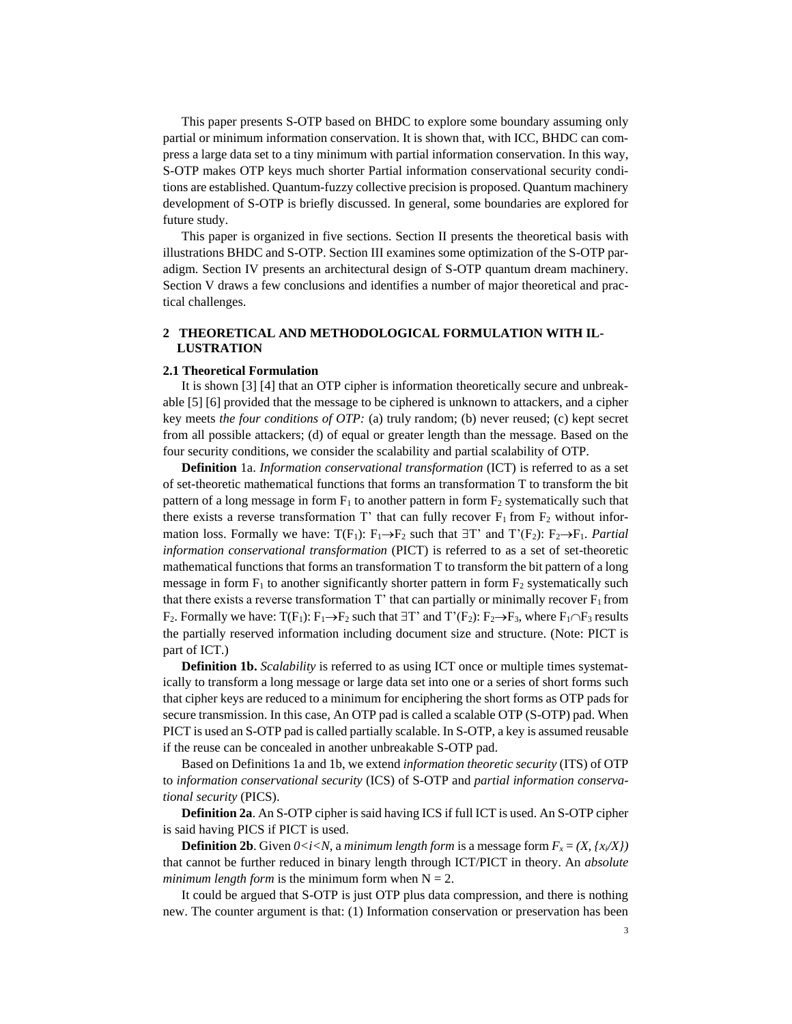This paper presents S-OTP based on BHDC to explore some boundary assuming only partial or minimum information conservation. It is shown that, with ICC, BHDC can compress a large data set to a tiny minimum with partial information conservation. In this way, S-OTP makes OTP keys much shorter Partial information conservational security conditions are established. Quantum-fuzzy collective precision is proposed. Quantum machinery development of S-OTP is briefly discussed. In general, some boundaries are explored for future study.

This paper is organized in five sections. Section II presents the theoretical basis with illustrations BHDC and S-OTP. Section III examines some optimization of the S-OTP paradigm. Section IV presents an architectural design of S-OTP quantum dream machinery. Section V draws a few conclusions and identifies a number of major theoretical and practical challenges.

# **2 THEORETICAL AND METHODOLOGICAL FORMULATION WITH IL-LUSTRATION**

#### **2.1 Theoretical Formulation**

It is shown [3] [4] that an OTP cipher is information theoretically secure and unbreakable [5] [6] provided that the message to be ciphered is unknown to attackers, and a cipher key meets *the four conditions of OTP:* (a) truly random; (b) never reused; (c) kept secret from all possible attackers; (d) of equal or greater length than the message. Based on the four security conditions, we consider the scalability and partial scalability of OTP.

**Definition** 1a. *Information conservational transformation* (ICT) is referred to as a set of set-theoretic mathematical functions that forms an transformation T to transform the bit pattern of a long message in form  $F_1$  to another pattern in form  $F_2$  systematically such that there exists a reverse transformation T' that can fully recover  $F_1$  from  $F_2$  without information loss. Formally we have:  $T(F_1)$ :  $F_1 \rightarrow F_2$  such that  $\exists T$ ' and  $T'(F_2)$ :  $F_2 \rightarrow F_1$ . *Partial information conservational transformation* (PICT) is referred to as a set of set-theoretic mathematical functions that forms an transformation T to transform the bit pattern of a long message in form  $F_1$  to another significantly shorter pattern in form  $F_2$  systematically such that there exists a reverse transformation T' that can partially or minimally recover  $F_1$  from  $F_2$ . Formally we have:  $T(F_1)$ :  $F_1 \rightarrow F_2$  such that  $\exists T'$  and  $T'(F_2)$ :  $F_2 \rightarrow F_3$ , where  $F_1 \cap F_3$  results the partially reserved information including document size and structure. (Note: PICT is part of ICT.)

**Definition 1b.** *Scalability* is referred to as using ICT once or multiple times systematically to transform a long message or large data set into one or a series of short forms such that cipher keys are reduced to a minimum for enciphering the short forms as OTP pads for secure transmission. In this case, An OTP pad is called a scalable OTP (S-OTP) pad. When PICT is used an S-OTP pad is called partially scalable. In S-OTP, a key is assumed reusable if the reuse can be concealed in another unbreakable S-OTP pad.

Based on Definitions 1a and 1b, we extend *information theoretic security* (ITS) of OTP to *information conservational security* (ICS) of S-OTP and *partial information conservational security* (PICS).

**Definition 2a**. An S-OTP cipher is said having ICS if full ICT is used. An S-OTP cipher is said having PICS if PICT is used.

**Definition 2b.** Given  $0 < i < N$ , a *minimum length form* is a message form  $F_x = (X, \{x_i/X\})$ that cannot be further reduced in binary length through ICT/PICT in theory. An *absolute minimum length form* is the minimum form when  $N = 2$ .

It could be argued that S-OTP is just OTP plus data compression, and there is nothing new. The counter argument is that: (1) Information conservation or preservation has been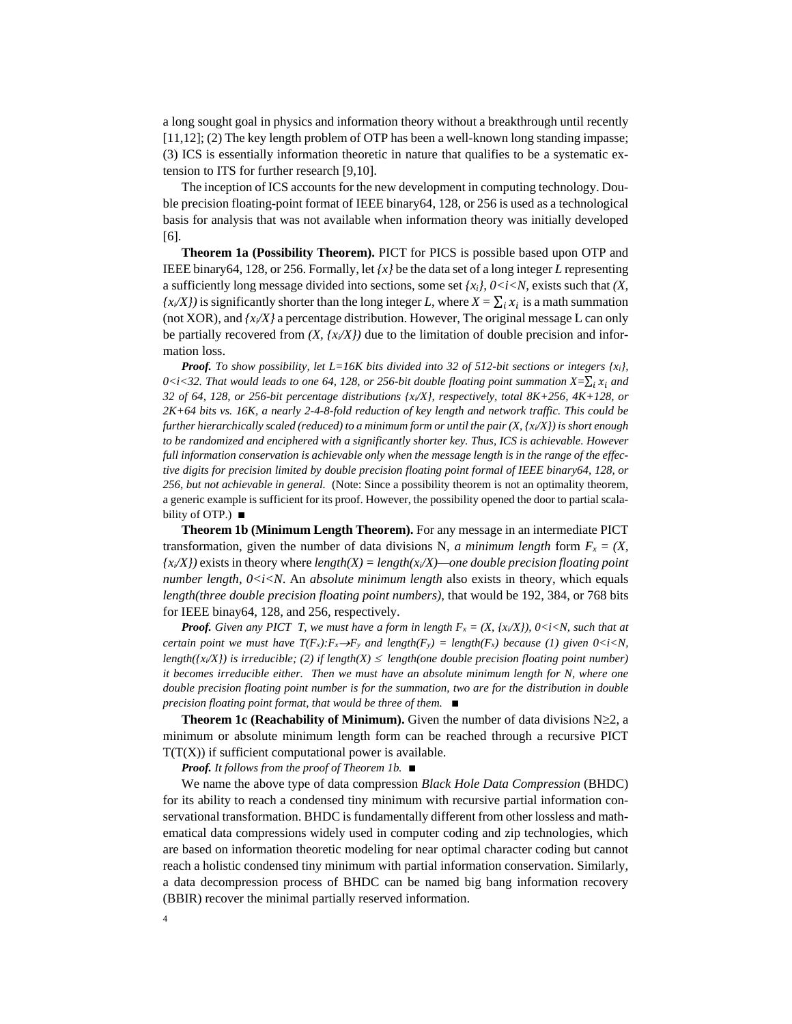a long sought goal in physics and information theory without a breakthrough until recently [11,12]; (2) The key length problem of OTP has been a well-known long standing impasse; (3) ICS is essentially information theoretic in nature that qualifies to be a systematic extension to ITS for further research [9,10].

The inception of ICS accounts for the new development in computing technology. Double precision floating-point format of IEEE binary64, 128, or 256 is used as a technological basis for analysis that was not available when information theory was initially developed [6].

**Theorem 1a (Possibility Theorem).** PICT for PICS is possible based upon OTP and IEEE binary64, 128, or 256. Formally, let *{x}* be the data set of a long integer *L* representing a sufficiently long message divided into sections, some set  $\{x_i\}$ ,  $0 \le i \le N$ , exists such that  $(X, \mathcal{X})$  $(x_i/X)$  is significantly shorter than the long integer *L*, where  $X = \sum_i x_i$  is a math summation (not XOR), and  $\{x_i/X\}$  a percentage distribution. However, The original message L can only be partially recovered from  $(X, \{x \mid X \})$  due to the limitation of double precision and information loss.

*Proof. To show possibility, let L=16K bits divided into 32 of 512-bit sections or integers {xi},*   $0 \le i \le 32$ . That would leads to one 64, 128, or 256-bit double floating point summation  $X = \sum_i x_i$  and *32 of 64, 128, or 256-bit percentage distributions {xi/X}, respectively, total 8K+256, 4K+128, or 2K+64 bits vs. 16K, a nearly 2-4-8-fold reduction of key length and network traffic. This could be further hierarchically scaled (reduced) to a minimum form or until the pair (X, {xi/X}) is short enough to be randomized and enciphered with a significantly shorter key. Thus, ICS is achievable. However full information conservation is achievable only when the message length is in the range of the effective digits for precision limited by double precision floating point formal of IEEE binary64, 128, or 256, but not achievable in general.* (Note: Since a possibility theorem is not an optimality theorem, a generic example is sufficient for its proof. However, the possibility opened the door to partial scalability of OTP.) ∎

**Theorem 1b (Minimum Length Theorem).** For any message in an intermediate PICT transformation, given the number of data divisions N, *a minimum length* form  $F_x = (X,$  $\{x_i \mid X_i \in \mathbb{R}^d\}$  exists in theory where *length(X)* = *length(x<sub>i</sub>* $\{X\}$ —one double precision floating point *number length,*  $0 \lt i \lt N$ *. An absolute minimum length* also exists in theory, which equals *length(three double precision floating point numbers),* that would be 192, 384, or 768 bits for IEEE binay64, 128, and 256, respectively.

*Proof.* Given any PICT T, we must have a form in length  $F_x = (X, \{x \mid X\})$ , 0<i<N, such that at *certain point we must have*  $T(F_x): F_x \to F_y$  *and length(F<sub><i>x*</sub>) = length(F<sub>*x*</sub>) because (1) given 0<i<N, *length(* $\{x_i/X\}$ *) is irreducible; (2) if length(X)*  $\leq$  *length(one double precision floating point number) it becomes irreducible either. Then we must have an absolute minimum length for N, where one double precision floating point number is for the summation, two are for the distribution in double precision floating point format, that would be three of them.* ∎

**Theorem 1c (Reachability of Minimum).** Given the number of data divisions  $N \geq 2$ , a minimum or absolute minimum length form can be reached through a recursive PICT  $T(T(X))$  if sufficient computational power is available.

*Proof. It follows from the proof of Theorem 1b.* ∎

We name the above type of data compression *Black Hole Data Compression* (BHDC) for its ability to reach a condensed tiny minimum with recursive partial information conservational transformation. BHDC is fundamentally different from other lossless and mathematical data compressions widely used in computer coding and zip technologies, which are based on information theoretic modeling for near optimal character coding but cannot reach a holistic condensed tiny minimum with partial information conservation. Similarly, a data decompression process of BHDC can be named big bang information recovery (BBIR) recover the minimal partially reserved information.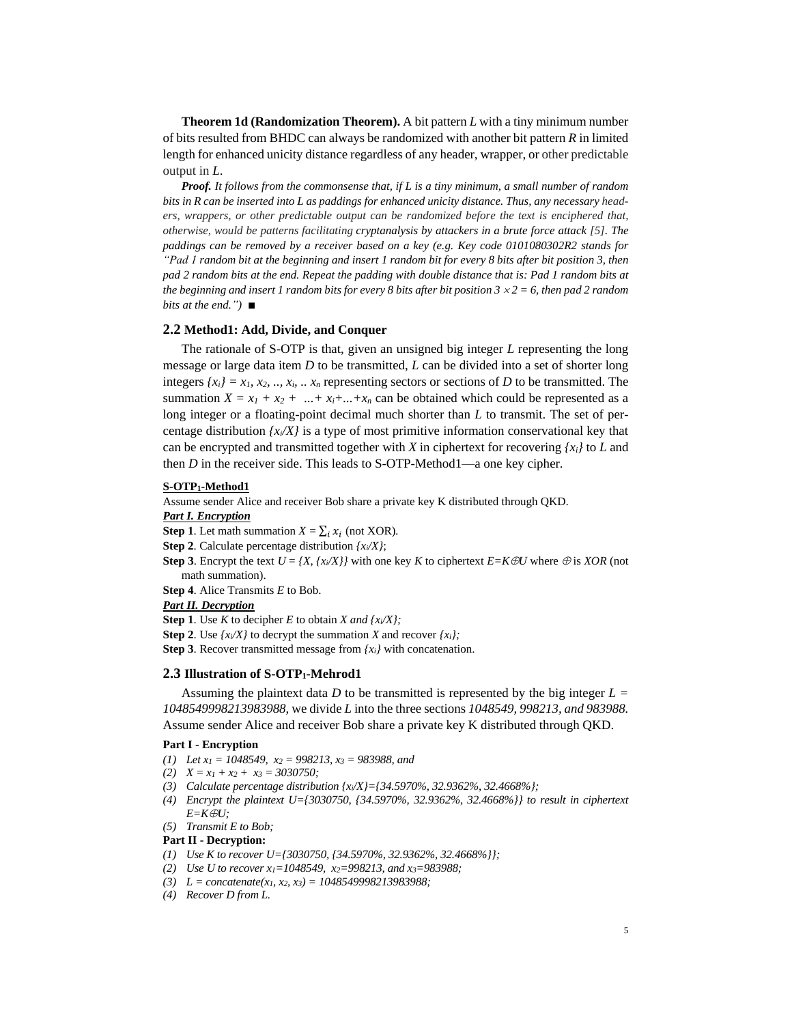**Theorem 1d (Randomization Theorem).** A bit pattern *L* with a tiny minimum number of bits resulted from BHDC can always be randomized with another bit pattern *R* in limited length for enhanced unicity distance regardless of any header, wrapper, or other predictable output in *L*.

*Proof. It follows from the commonsense that, if L is a tiny minimum, a small number of random bits in R can be inserted into L as paddings for enhanced unicity distance. Thus, any necessary headers, wrappers, or other predictable output can be randomized before the text is enciphered that, otherwise, would be patterns facilitating cryptanalysis by attackers in a brute force attack [5]. The paddings can be removed by a receiver based on a key (e.g. Key code 0101080302R2 stands for "Pad 1 random bit at the beginning and insert 1 random bit for every 8 bits after bit position 3, then pad 2 random bits at the end. Repeat the padding with double distance that is: Pad 1 random bits at the beginning and insert 1 random bits for every 8 bits after bit position*  $3 \times 2 = 6$ *, then pad 2 random bits at the end.")* ∎

#### **2.2 Method1: Add, Divide, and Conquer**

The rationale of S-OTP is that, given an unsigned big integer *L* representing the long message or large data item *D* to be transmitted, *L* can be divided into a set of shorter long integers  $\{x_i\} = x_1, x_2, \dots, x_i, \dots, x_n$  representing sectors or sections of *D* to be transmitted. The summation  $X = x_1 + x_2 + ... + x_i + ... + x_n$  can be obtained which could be represented as a long integer or a floating-point decimal much shorter than *L* to transmit. The set of percentage distribution  $\{x_i/X\}$  is a type of most primitive information conservational key that can be encrypted and transmitted together with *X* in ciphertext for recovering  ${x_i}$  to *L* and then *D* in the receiver side. This leads to S-OTP-Method1—a one key cipher.

#### **S-OTP1-Method1**

Assume sender Alice and receiver Bob share a private key K distributed through QKD.

#### *Part I. Encryption*

**Step 1**. Let math summation  $X = \sum_i x_i$  (not XOR).

**Step 2**. Calculate percentage distribution *{xi/X}*;

**Step 3**. Encrypt the text  $U = \{X, \{x \mid X\} \}$  with one key *K* to ciphertext  $E = K \oplus U$  where  $\oplus$  is *XOR* (not math summation).

**Step 4**. Alice Transmits *E* to Bob.

#### *Part II. Decryption*

**Step 1**. Use *K* to decipher *E* to obtain *X and {xi/X};*

**Step 2.** Use  $\{x_i/X\}$  to decrypt the summation *X* and recover  $\{x_i\}$ ;

**Step 3**. Recover transmitted message from *{xi}* with concatenation.

# **2.3 Illustration of S-OTP1-Mehrod1**

Assuming the plaintext data *D* to be transmitted is represented by the big integer  $L =$ *1048549998213983988*, we divide *L* into the three sections *1048549, 998213, and 983988.*  Assume sender Alice and receiver Bob share a private key K distributed through QKD.

### **Part I - Encryption**

- *(1) Let x<sup>1</sup> = 1048549, x<sup>2</sup> = 998213, x<sup>3</sup> = 983988, and*
- *(2) X = x<sup>1</sup> + x<sup>2</sup> + x<sup>3</sup> = 3030750;*
- *(3) Calculate percentage distribution {xi/X}={34.5970%, 32.9362%, 32.4668%};*
- *(4) Encrypt the plaintext U={3030750, {34.5970%, 32.9362%, 32.4668%}} to result in ciphertext*   $E=K\oplus U$ ;
- *(5) Transmit E to Bob;*

# **Part II - Decryption:**

- *(1) Use K to recover U={3030750, {34.5970%, 32.9362%, 32.4668%}};*
- *(2) Use U to recover x1=1048549, x2=998213, and x3=983988;*
- *(3) L = concatenate(x1, x2, x3) = 1048549998213983988;*
- *(4) Recover D from L.*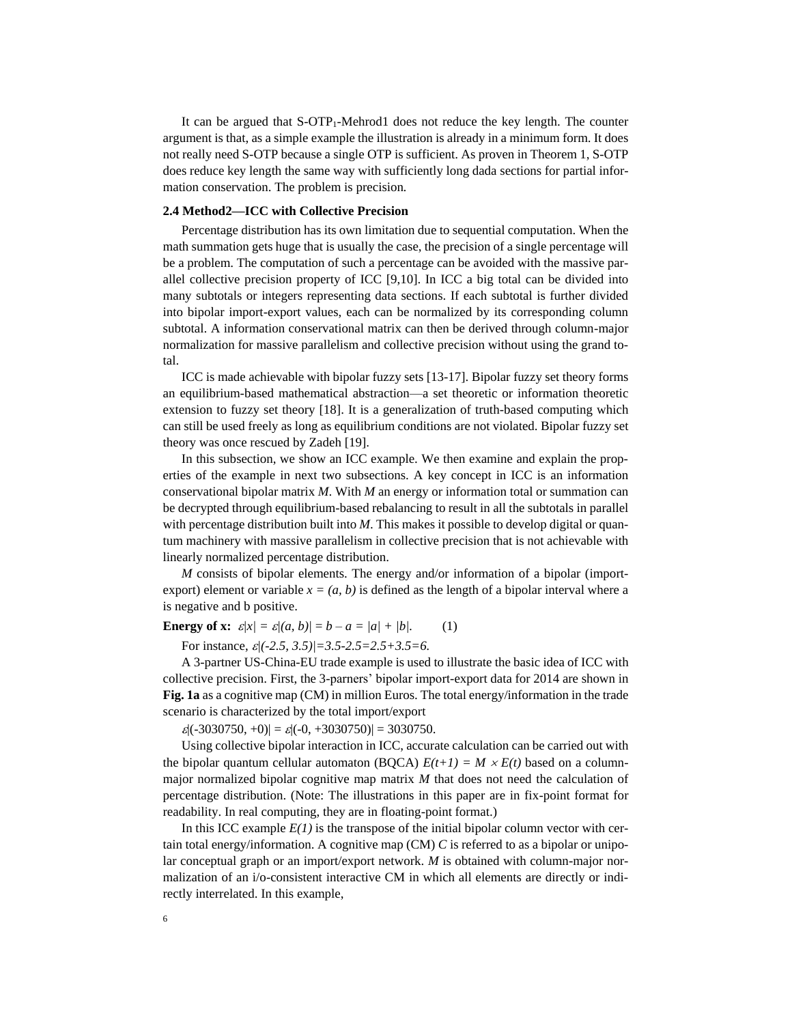It can be argued that  $S-OTP_1-Mehrod1$  does not reduce the key length. The counter argument is that, as a simple example the illustration is already in a minimum form. It does not really need S-OTP because a single OTP is sufficient. As proven in Theorem 1, S-OTP does reduce key length the same way with sufficiently long dada sections for partial information conservation. The problem is precision*.*

# **2.4 Method2—ICC with Collective Precision**

Percentage distribution has its own limitation due to sequential computation. When the math summation gets huge that is usually the case, the precision of a single percentage will be a problem. The computation of such a percentage can be avoided with the massive parallel collective precision property of ICC [9,10]. In ICC a big total can be divided into many subtotals or integers representing data sections. If each subtotal is further divided into bipolar import-export values, each can be normalized by its corresponding column subtotal. A information conservational matrix can then be derived through column-major normalization for massive parallelism and collective precision without using the grand total.

ICC is made achievable with bipolar fuzzy sets [13-17]. Bipolar fuzzy set theory forms an equilibrium-based mathematical abstraction—a set theoretic or information theoretic extension to fuzzy set theory [18]. It is a generalization of truth-based computing which can still be used freely as long as equilibrium conditions are not violated. Bipolar fuzzy set theory was once rescued by Zadeh [19].

In this subsection, we show an ICC example. We then examine and explain the properties of the example in next two subsections. A key concept in ICC is an information conservational bipolar matrix *M*. With *M* an energy or information total or summation can be decrypted through equilibrium-based rebalancing to result in all the subtotals in parallel with percentage distribution built into *M*. This makes it possible to develop digital or quantum machinery with massive parallelism in collective precision that is not achievable with linearly normalized percentage distribution.

*M* consists of bipolar elements. The energy and/or information of a bipolar (importexport) element or variable  $x = (a, b)$  is defined as the length of a bipolar interval where a is negative and b positive.

**Energy of x:**  $\varepsilon |x| = \varepsilon |a, b| = b - a = |a| + |b|.$  (1)

For instance,  $\varepsilon$ /(-2.5, 3.5)/=3.5-2.5=2.5+3.5=6.

A 3-partner US-China-EU trade example is used to illustrate the basic idea of ICC with collective precision. First, the 3-parners' bipolar import-export data for 2014 are shown in **Fig. 1a** as a cognitive map (CM) in million Euros. The total energy/information in the trade scenario is characterized by the total import/export

 $|\mathcal{E}|(-3030750, +0)| = \mathcal{E}(-0, +3030750)| = 3030750.$ 

Using collective bipolar interaction in ICC, accurate calculation can be carried out with the bipolar quantum cellular automaton (BQCA)  $E(t+1) = M \times E(t)$  based on a columnmajor normalized bipolar cognitive map matrix *M* that does not need the calculation of percentage distribution. (Note: The illustrations in this paper are in fix-point format for readability. In real computing, they are in floating-point format.)

In this ICC example  $E(1)$  is the transpose of the initial bipolar column vector with certain total energy/information. A cognitive map  $(CM)$  *C* is referred to as a bipolar or unipolar conceptual graph or an import/export network. *M* is obtained with column-major normalization of an i/o-consistent interactive CM in which all elements are directly or indirectly interrelated. In this example,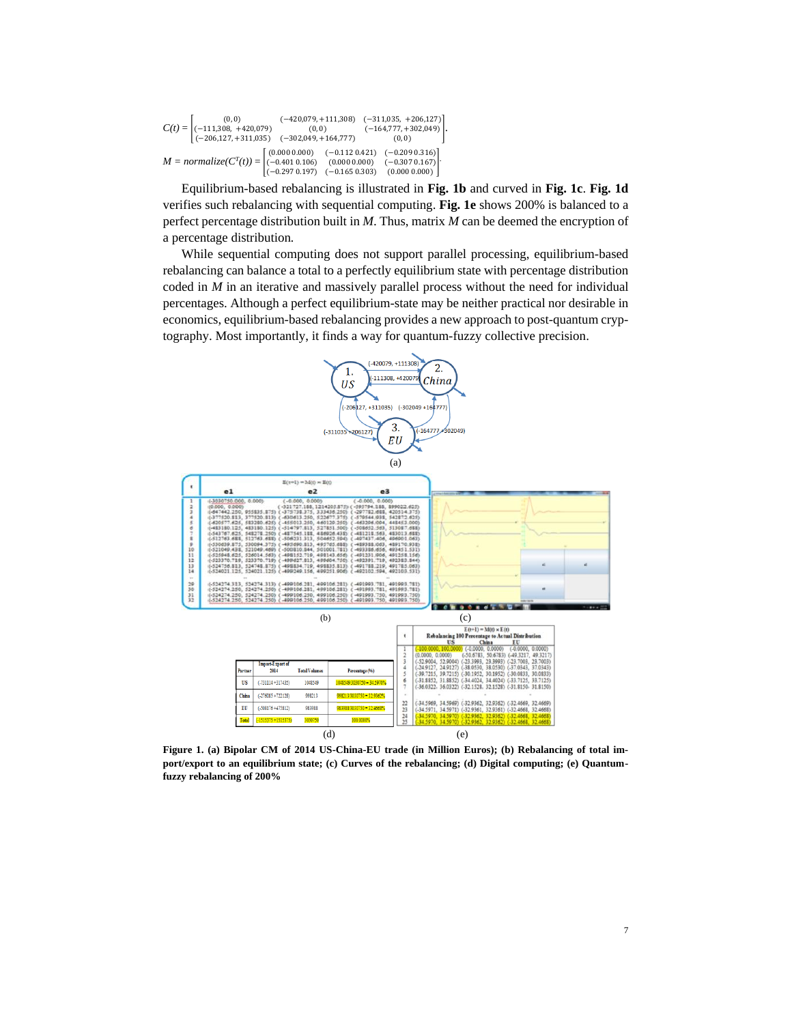| $C(t) = \begin{bmatrix} (0,0) & (-420,079,+111,308) & (-311,035,+206,127) \\ (-111,308,+420,079) & (0,0) & (-164,777,+302,049) \\ (-206,127,+311,035) & (-302,049,+164,777) & (0,0) \end{bmatrix}.$    |  |  |
|--------------------------------------------------------------------------------------------------------------------------------------------------------------------------------------------------------|--|--|
| $M = normalize(C^{T}(t)) = \begin{bmatrix} (0.0000.000) & (-0.1120.421) & (-0.2090.316) \\ (-0.4010.106) & (0.0000.000) & (-0.3070.167) \\ (-0.2970.197) & (-0.1650.303) & (0.0000.000) \end{bmatrix}$ |  |  |

Equilibrium-based rebalancing is illustrated in **Fig. 1b** and curved in **Fig. 1c**. **Fig. 1d**  verifies such rebalancing with sequential computing. **Fig. 1e** shows 200% is balanced to a perfect percentage distribution built in *M*. Thus, matrix *M* can be deemed the encryption of a percentage distribution*.* 

While sequential computing does not support parallel processing, equilibrium-based rebalancing can balance a total to a perfectly equilibrium state with percentage distribution coded in *M* in an iterative and massively parallel process without the need for individual percentages. Although a perfect equilibrium-state may be neither practical nor desirable in economics, equilibrium-based rebalancing provides a new approach to post-quantum cryptography. Most importantly, it finds a way for quantum-fuzzy collective precision.



**Figure 1. (a) Bipolar CM of 2014 US-China-EU trade (in Million Euros); (b) Rebalancing of total import/export to an equilibrium state; (c) Curves of the rebalancing; (d) Digital computing; (e) Quantumfuzzy rebalancing of 200%**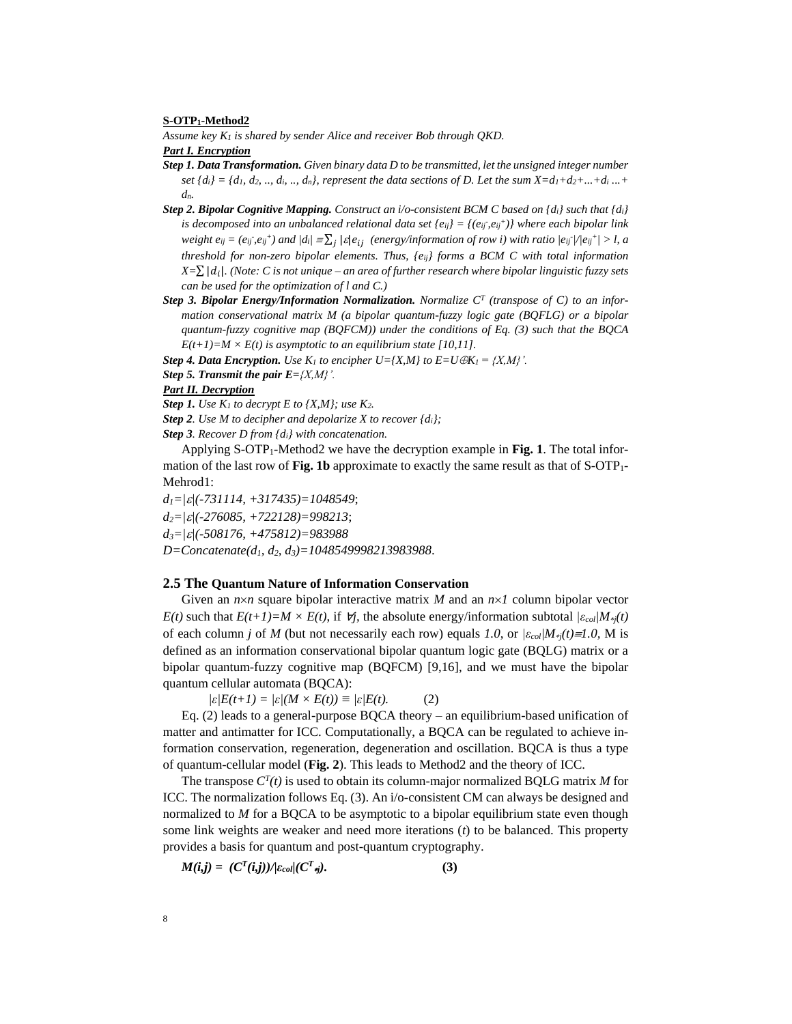#### **S-OTP1-Method2**

*Assume key K<sup>1</sup> is shared by sender Alice and receiver Bob through QKD.*

# *Part I. Encryption*

- *Step 1. Data Transformation. Given binary data D to be transmitted, let the unsigned integer number set*  $\{di\} = \{d_1, d_2, ..., d_i, ..., d_n\}$ , represent the data sections of D. Let the sum  $X = d_1 + d_2 + ... + d_i$ ...+ *dn.*
- *Step 2. Bipolar Cognitive Mapping. Construct an i/o-consistent BCM C based on {di} such that {di} is decomposed into an unbalanced relational data set*  $\{e_{ij}\} = \{(e_{ij}, e_{ij}^+) \}$  where each bipolar link weight  $e_{ij} = (e_{ij}, e_{ij}^+)$  and  $|di| = \sum_j |\varepsilon| e_{ij}$  (energy/information of row i) with ratio  $|e_{ij}|/|e_{ij}^+| > l$ , a *threshold for non-zero bipolar elements. Thus, {eij} forms a BCM C with total information X=*∑ | |*. (Note: C is not unique – an area of further research where bipolar linguistic fuzzy sets can be used for the optimization of l and C.)*
- *Step 3. Bipolar Energy/Information Normalization. Normalize C<sup>T</sup> (transpose of C) to an information conservational matrix M (a bipolar quantum-fuzzy logic gate (BQFLG) or a bipolar quantum-fuzzy cognitive map (BQFCM)) under the conditions of Eq. (3) such that the BQCA*   $E(t+1)=M \times E(t)$  is asymptotic to an equilibrium state [10,11].

*Step 4. Data Encryption. Use K<sub>1</sub> to encipher*  $U = \{X, M\}$  *to*  $E = U \oplus K_I = \{X, M\}$ *.* 

*Step 5. Transmit the pair E={X,M}'.*

# *Part II. Decryption*

*Step 1. Use K<sub>1</sub> to decrypt E to {X,M}; use K<sub>2</sub>.* 

*Step 2. Use M to decipher and depolarize X to recover {di};*

*Step 3. Recover D from {di} with concatenation.*

Applying S-OTP1-Method2 we have the decryption example in **Fig. 1**. The total information of the last row of **Fig. 1b** approximate to exactly the same result as that of S-OTP<sub>1</sub>-Mehrod1:

*d1=||(-731114, +317435)=1048549*;

*d2=||(-276085, +722128)=998213*;

*d3=||(-508176, +475812)=983988* 

*D=Concatenate(d1, d2, d3)=1048549998213983988*.

# **2.5 The Quantum Nature of Information Conservation**

Given an  $n \times n$  square bipolar interactive matrix M and an  $n \times I$  column bipolar vector *E(t)* such that  $E(t+1)=M \times E(t)$ , if  $\forall j$ , the absolute energy/information subtotal  $|\varepsilon_{col}/M_{\ast j}(t)|$ of each column *j* of *M* (but not necessarily each row) equals *1.0*, or *|εcol|M*∗*<sup>j</sup>(t)1.0,* M is defined as an information conservational bipolar quantum logic gate (BQLG) matrix or a bipolar quantum-fuzzy cognitive map (BQFCM) [9,16], and we must have the bipolar quantum cellular automata (BQCA):

 $\sqrt{\varepsilon/E(t+1)} = \sqrt{\varepsilon/(M \times E(t))} \equiv \sqrt{\varepsilon/E(t)}.$  (2)

Eq. (2) leads to a general-purpose BQCA theory – an equilibrium-based unification of matter and antimatter for ICC. Computationally, a BQCA can be regulated to achieve information conservation, regeneration, degeneration and oscillation. BQCA is thus a type of quantum-cellular model (**Fig. 2**). This leads to Method2 and the theory of ICC.

The transpose  $C^{T}(t)$  is used to obtain its column-major normalized BQLG matrix *M* for ICC. The normalization follows Eq. (3). An i/o-consistent CM can always be designed and normalized to *M* for a BQCA to be asymptotic to a bipolar equilibrium state even though some link weights are weaker and need more iterations (*t*) to be balanced. This property provides a basis for quantum and post-quantum cryptography.

$$
M(i,j) = (C^T(i,j))/\varepsilon_{coll}(C^T\varepsilon_j). \tag{3}
$$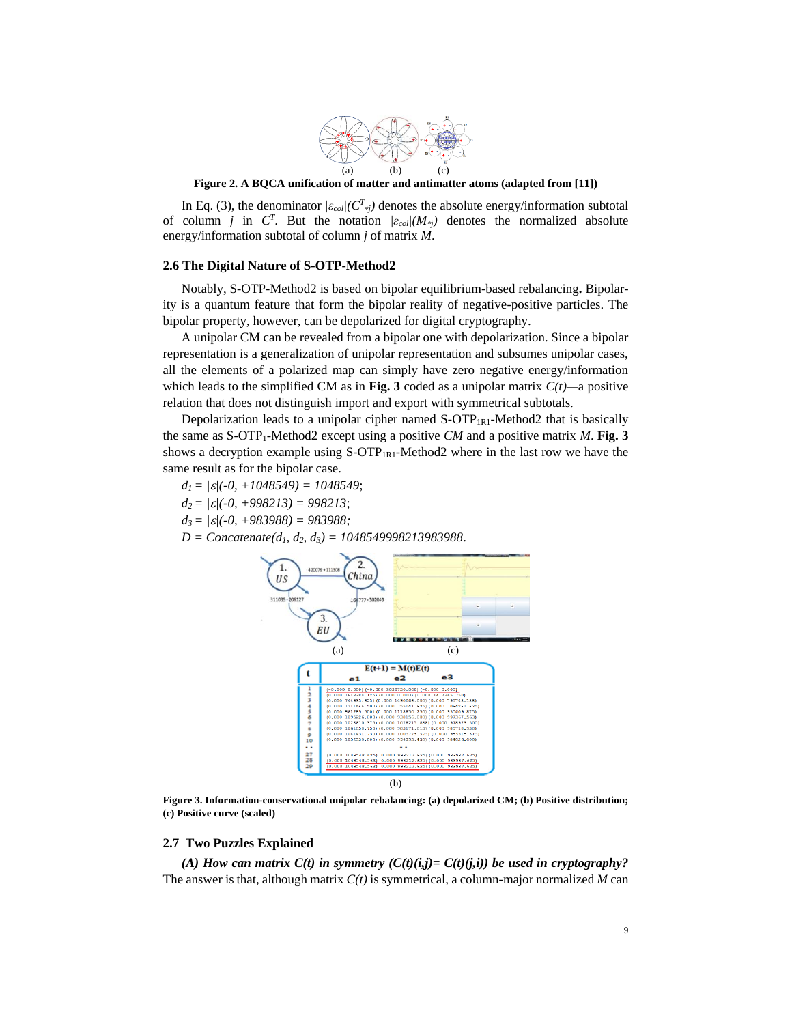

**Figure 2. A BQCA unification of matter and antimatter atoms (adapted from [11])**

In Eq. (3), the denominator  $|\varepsilon_{col}/(C^T)_i|$  denotes the absolute energy/information subtotal of column *j* in  $C^T$ . But the notation  $\frac{\partial c}{\partial x}$  /( $M_{ij}$ ) denotes the normalized absolute energy/information subtotal of column *j* of matrix *M*.

#### **2.6 The Digital Nature of S-OTP-Method2**

Notably, S-OTP-Method2 is based on bipolar equilibrium-based rebalancing**.** Bipolarity is a quantum feature that form the bipolar reality of negative-positive particles. The bipolar property, however, can be depolarized for digital cryptography.

A unipolar CM can be revealed from a bipolar one with depolarization. Since a bipolar representation is a generalization of unipolar representation and subsumes unipolar cases, all the elements of a polarized map can simply have zero negative energy/information which leads to the simplified CM as in Fig. 3 coded as a unipolar matrix  $C(t)$ —a positive relation that does not distinguish import and export with symmetrical subtotals.

Depolarization leads to a unipolar cipher named  $S-OTP_{IR1}$ -Method2 that is basically the same as  $S$ -OTP<sub>1</sub>-Method2 except using a positive *CM* and a positive matrix *M*. Fig. 3 shows a decryption example using  $S\text{-}OTP_{IR1}$ -Method2 where in the last row we have the same result as for the bipolar case.

*d1 = ||(-0, +1048549) = 1048549*; *d2 = ||(-0, +998213) = 998213*;  $d_3 = |\mathcal{E}|(-0, +983988) = 983988;$ 

*D = Concatenate(d1, d2, d3) = 1048549998213983988*.



**Figure 3. Information-conservational unipolar rebalancing: (a) depolarized CM; (b) Positive distribution; (c) Positive curve (scaled)**

## **2.7 Two Puzzles Explained**

(A) How can matrix  $C(t)$  in symmetry  $(C(t)(i,j)=C(t)(j,i))$  be used in cryptography? The answer is that, although matrix *C(t)* is symmetrical, a column-major normalized *M* can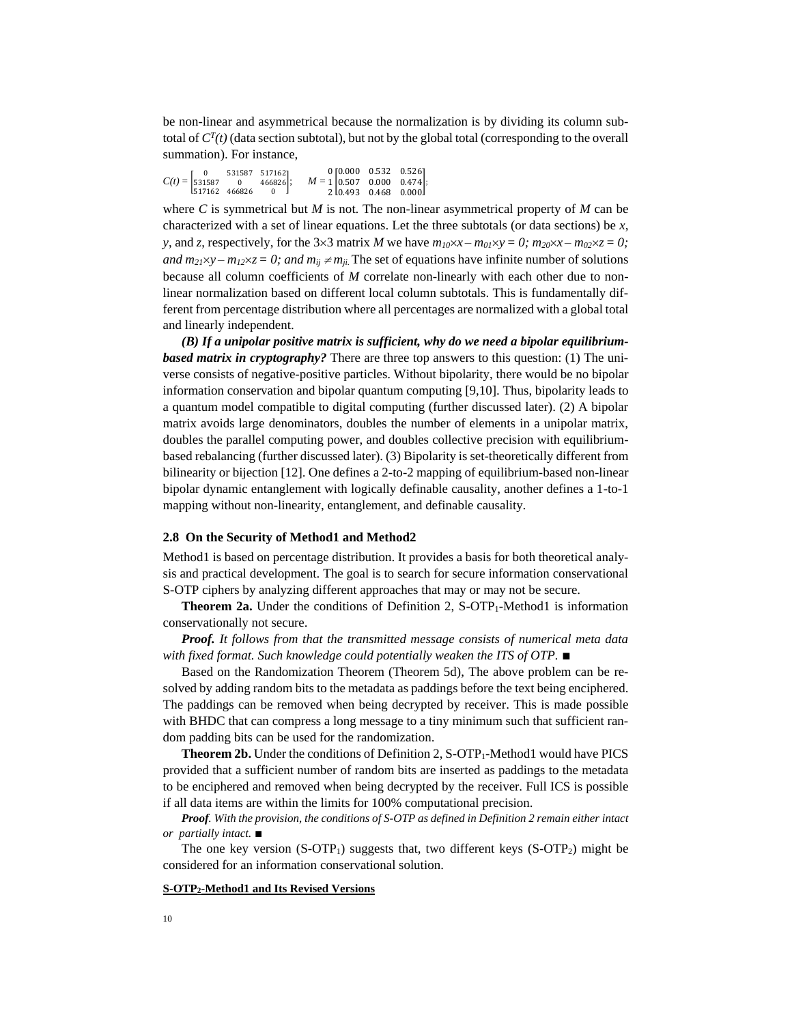be non-linear and asymmetrical because the normalization is by dividing its column subtotal of  $C^{T}(t)$  (data section subtotal), but not by the global total (corresponding to the overall summation). For instance,

|  | $C(t) = \begin{bmatrix} 0 & 531587 & 517162 \\ 531587 & 0 & 466826 \end{bmatrix};$ | $\begin{bmatrix} 531587 & 517162 \\ 0 & 466826 \\ 466826 & 0 \end{bmatrix}$ , $M = 1 \begin{bmatrix} 0.000 & 0.532 & 0.526 \\ 0.507 & 0.000 & 0.474 \\ 2 & 0.493 & 0.468 & 0.000 \end{bmatrix}$ |  |
|--|------------------------------------------------------------------------------------|-------------------------------------------------------------------------------------------------------------------------------------------------------------------------------------------------|--|
|  | $1517162$ 466826 0                                                                 |                                                                                                                                                                                                 |  |

where *C* is symmetrical but *M* is not. The non-linear asymmetrical property of *M* can be characterized with a set of linear equations. Let the three subtotals (or data sections) be *x*, *y*, and *z*, respectively, for the 3×3 matrix *M* we have  $m_{10} \times x - m_{01} \times y = 0$ ;  $m_{20} \times x - m_{02} \times z = 0$ ; *and m*<sub>21</sub> $\times$ y – *m*<sub>12</sub> $\times$ z = 0; and m<sub>*ij*</sub>  $\neq$  m<sub>*ii*</sub>. The set of equations have infinite number of solutions because all column coefficients of *M* correlate non-linearly with each other due to nonlinear normalization based on different local column subtotals. This is fundamentally different from percentage distribution where all percentages are normalized with a global total and linearly independent.

*(B) If a unipolar positive matrix is sufficient, why do we need a bipolar equilibriumbased matrix in cryptography?* There are three top answers to this question: (1) The universe consists of negative-positive particles. Without bipolarity, there would be no bipolar information conservation and bipolar quantum computing [9,10]. Thus, bipolarity leads to a quantum model compatible to digital computing (further discussed later). (2) A bipolar matrix avoids large denominators, doubles the number of elements in a unipolar matrix, doubles the parallel computing power, and doubles collective precision with equilibriumbased rebalancing (further discussed later). (3) Bipolarity is set-theoretically different from bilinearity or bijection [12]. One defines a 2-to-2 mapping of equilibrium-based non-linear bipolar dynamic entanglement with logically definable causality, another defines a 1-to-1 mapping without non-linearity, entanglement, and definable causality.

### **2.8 On the Security of Method1 and Method2**

Method1 is based on percentage distribution. It provides a basis for both theoretical analysis and practical development. The goal is to search for secure information conservational S-OTP ciphers by analyzing different approaches that may or may not be secure.

**Theorem 2a.** Under the conditions of Definition 2, S-OTP<sub>1</sub>-Method1 is information conservationally not secure.

*Proof. It follows from that the transmitted message consists of numerical meta data with fixed format. Such knowledge could potentially weaken the ITS of OTP.* ∎

Based on the Randomization Theorem (Theorem 5d), The above problem can be resolved by adding random bits to the metadata as paddings before the text being enciphered. The paddings can be removed when being decrypted by receiver. This is made possible with BHDC that can compress a long message to a tiny minimum such that sufficient random padding bits can be used for the randomization.

**Theorem 2b.** Under the conditions of Definition 2, S-OTP<sub>1</sub>-Method1 would have PICS provided that a sufficient number of random bits are inserted as paddings to the metadata to be enciphered and removed when being decrypted by the receiver. Full ICS is possible if all data items are within the limits for 100% computational precision.

*Proof. With the provision, the conditions of S-OTP as defined in Definition 2 remain either intact or partially intact.* ∎

The one key version  $(S\text{-}OTP_1)$  suggests that, two different keys  $(S\text{-}OTP_2)$  might be considered for an information conservational solution.

# **S-OTP2-Method1 and Its Revised Versions**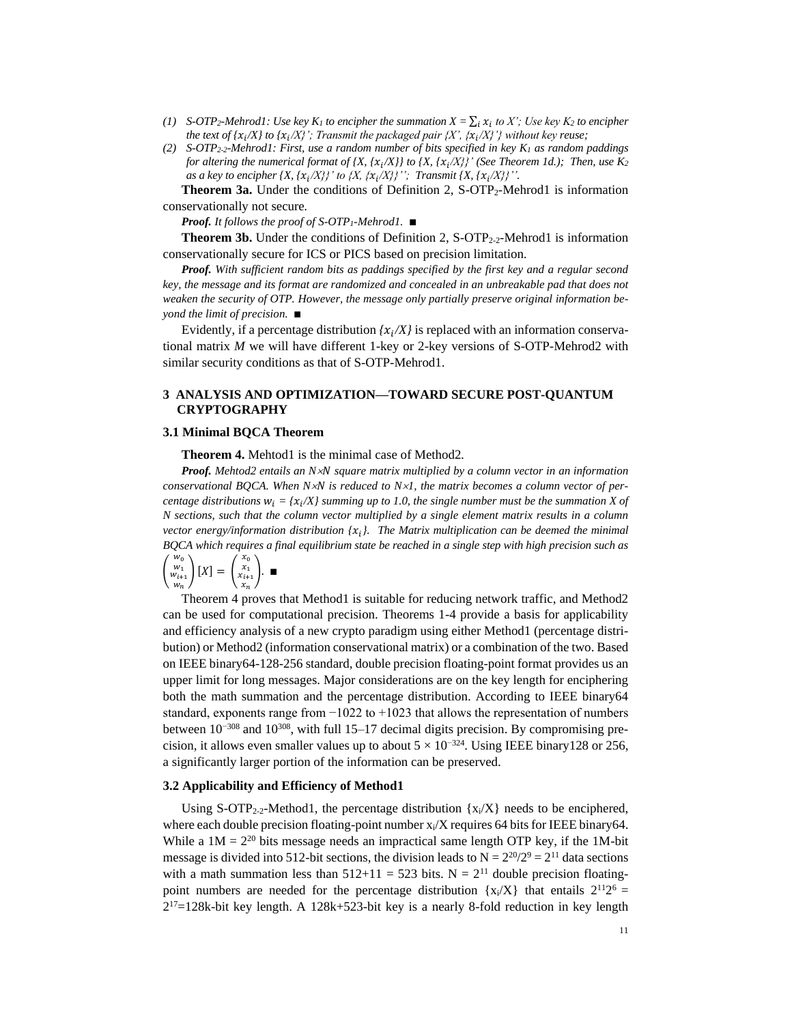- *(1) S-OTP*<sub>2</sub>*-Mehrod1: Use key K<sub>1</sub> to encipher the summation*  $X = \sum_i x_i$  *to X'; Use key K<sub>2</sub> to encipher the text of {* $x_i/X$ *} to {* $x_i/X$ *}'; Transmit the packaged pair {X', {* $x_i/X$ *}'} without key reuse;*
- *(2) S-OTP2-2-Mehrod1: First, use a random number of bits specified in key K<sup>1</sup> as random paddings for altering the numerical format of {X, {* $x_i/X$ *}} to {X, {* $x_i/X$ *}' (See Theorem 1d.); Then, use K<sub>2</sub> as a key to encipher {X, { /X}}' to {X, { /X}}''; Transmit {X, { /X}}''.*

**Theorem 3a.** Under the conditions of Definition 2, S-OTP<sub>2</sub>-Mehrod1 is information conservationally not secure*.*

*Proof. It follows the proof of S-OTP1-Mehrod1.* ∎

**Theorem 3b.** Under the conditions of Definition 2, S-OTP<sub>2-2</sub>-Mehrod1 is information conservationally secure for ICS or PICS based on precision limitation*.* 

*Proof. With sufficient random bits as paddings specified by the first key and a regular second key, the message and its format are randomized and concealed in an unbreakable pad that does not weaken the security of OTP. However, the message only partially preserve original information beyond the limit of precision.* ∎

Evidently, if a percentage distribution  $\{x_i/X\}$  is replaced with an information conservational matrix *M* we will have different 1-key or 2-key versions of S-OTP-Mehrod2 with similar security conditions as that of S-OTP-Mehrod1.

# **3 ANALYSIS AND OPTIMIZATION—TOWARD SECURE POST-QUANTUM CRYPTOGRAPHY**

#### **3.1 Minimal BQCA Theorem**

**Theorem 4.** Mehtod1 is the minimal case of Method2*.* 

*Proof. Mehtod2 entails an N square matrix multiplied by a column vector in an information conservational BQCA. When N is reduced to N1, the matrix becomes a column vector of percentage distributions*  $w_i = \{x_i/X\}$  *summing up to 1.0, the single number must be the summation* X of *N sections, such that the column vector multiplied by a single element matrix results in a column vector energy/information distribution { }. The Matrix multiplication can be deemed the minimal BQCA which requires a final equilibrium state be reached in a single step with high precision such as* 

$$
\begin{pmatrix} w_0 \\ w_1 \\ w_{i+1} \\ w_n \end{pmatrix} [X] = \begin{pmatrix} x_0 \\ x_1 \\ x_{i+1} \\ x_n \end{pmatrix} . \blacksquare
$$

Theorem 4 proves that Method1 is suitable for reducing network traffic, and Method2 can be used for computational precision. Theorems 1-4 provide a basis for applicability and efficiency analysis of a new crypto paradigm using either Method1 (percentage distribution) or Method2 (information conservational matrix) or a combination of the two. Based on IEEE binary64-128-256 standard, double precision floating-point format provides us an upper limit for long messages. Major considerations are on the key length for enciphering both the math summation and the percentage distribution. According to IEEE binary64 standard, exponents range from  $-1022$  to  $+1023$  that allows the representation of numbers between 10−308 and 10<sup>308</sup>, with full 15–17 decimal digits precision. By compromising precision, it allows even smaller values up to about  $5 \times 10^{-324}$ . Using IEEE binary 128 or 256, a significantly larger portion of the information can be preserved.

# **3.2 Applicability and Efficiency of Method1**

Using S-OTP<sub>2-2</sub>-Method1, the percentage distribution  $\{x_i/X\}$  needs to be enciphered, where each double precision floating-point number  $x_i/X$  requires 64 bits for IEEE binary64. While a  $1M = 2^{20}$  bits message needs an impractical same length OTP key, if the 1M-bit message is divided into 512-bit sections, the division leads to  $N = 2^{20}/2^9 = 2^{11}$  data sections with a math summation less than  $512+11 = 523$  bits. N =  $2^{11}$  double precision floatingpoint numbers are needed for the percentage distribution  $\{x_i/X\}$  that entails  $2^{11}2^6 =$  $2^{17}$ =128k-bit key length. A 128k+523-bit key is a nearly 8-fold reduction in key length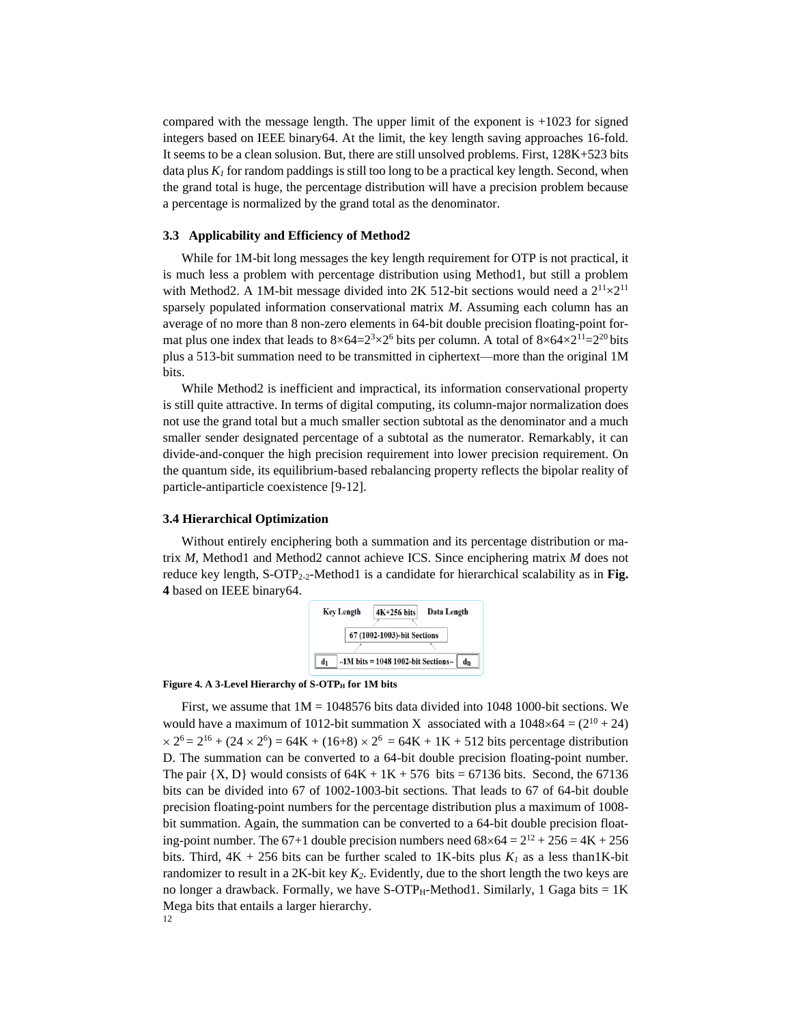compared with the message length. The upper limit of the exponent is  $+1023$  for signed integers based on IEEE binary64. At the limit, the key length saving approaches 16-fold. It seems to be a clean solusion. But, there are still unsolved problems. First, 128K+523 bits data plus  $K_I$  for random paddings is still too long to be a practical key length. Second, when the grand total is huge, the percentage distribution will have a precision problem because a percentage is normalized by the grand total as the denominator.

# **3.3 Applicability and Efficiency of Method2**

While for 1M-bit long messages the key length requirement for OTP is not practical, it is much less a problem with percentage distribution using Method1, but still a problem with Method2. A 1M-bit message divided into 2K 512-bit sections would need a  $2^{11}\times2^{11}$ sparsely populated information conservational matrix *M*. Assuming each column has an average of no more than 8 non-zero elements in 64-bit double precision floating-point format plus one index that leads to  $8 \times 64 = 2^3 \times 2^6$  bits per column. A total of  $8 \times 64 \times 2^{11} = 2^{20}$  bits plus a 513-bit summation need to be transmitted in ciphertext—more than the original 1M bits.

While Method2 is inefficient and impractical, its information conservational property is still quite attractive. In terms of digital computing, its column-major normalization does not use the grand total but a much smaller section subtotal as the denominator and a much smaller sender designated percentage of a subtotal as the numerator. Remarkably, it can divide-and-conquer the high precision requirement into lower precision requirement. On the quantum side, its equilibrium-based rebalancing property reflects the bipolar reality of particle-antiparticle coexistence [9-12].

# **3.4 Hierarchical Optimization**

Without entirely enciphering both a summation and its percentage distribution or matrix *M*, Method1 and Method2 cannot achieve ICS. Since enciphering matrix *M* does not reduce key length, S-OTP<sub>2-2</sub>-Method1 is a candidate for hierarchical scalability as in Fig. **4** based on IEEE binary64.



## Figure 4. A 3-Level Hierarchy of S-OTP<sub>H</sub> for 1M bits

12 First, we assume that  $1M = 1048576$  bits data divided into 1048 1000-bit sections. We would have a maximum of 1012-bit summation X associated with a  $1048\times64 = (2^{10} + 24)$  $\times 2^6 = 2^{16} + (24 \times 2^6) = 64K + (16+8) \times 2^6 = 64K + 1K + 512$  bits percentage distribution D. The summation can be converted to a 64-bit double precision floating-point number. The pair  $\{X, D\}$  would consists of  $64K + 1K + 576$  bits = 67136 bits. Second, the 67136 bits can be divided into 67 of 1002-1003-bit sections. That leads to 67 of 64-bit double precision floating-point numbers for the percentage distribution plus a maximum of 1008 bit summation. Again, the summation can be converted to a 64-bit double precision floating-point number. The 67+1 double precision numbers need  $68\times64 = 2^{12} + 256 = 4K + 256$ bits. Third,  $4K + 256$  bits can be further scaled to  $1K$ -bits plus  $K<sub>l</sub>$  as a less than 1K-bit randomizer to result in a 2K-bit key  $K_2$ . Evidently, due to the short length the two keys are no longer a drawback. Formally, we have  $S\text{-}OTP_H\text{-}Method1$ . Similarly, 1 Gaga bits = 1K Mega bits that entails a larger hierarchy.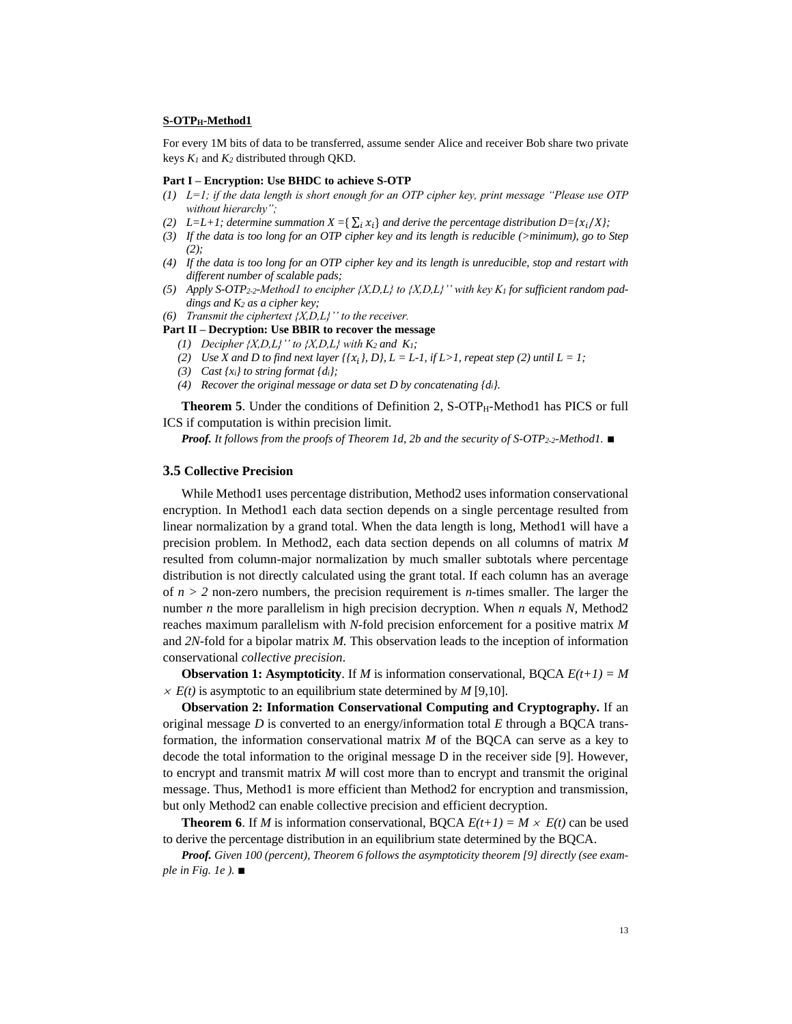#### **S-OTPH-Method1**

For every 1M bits of data to be transferred, assume sender Alice and receiver Bob share two private keys *K<sup>1</sup>* and *K<sup>2</sup>* distributed through QKD.

#### **Part I – Encryption: Use BHDC to achieve S-OTP**

- *(1) L=1; if the data length is short enough for an OTP cipher key, print message "Please use OTP without hierarchy";*
- *(2)*  $L=L+1$ ; determine summation  $X = \sum_i x_i$  and derive the percentage distribution  $D=\{x_i/X\}$ ;
- *(3) If the data is too long for an OTP cipher key and its length is reducible (>minimum), go to Step (2);*
- *(4) If the data is too long for an OTP cipher key and its length is unreducible, stop and restart with different number of scalable pads;*
- (5) Apply S-OTP<sub>2-2</sub>-Method1 to encipher  $\{X,D,L\}$  to  $\{X,D,L\}'$  with key  $K_I$  for sufficient random pad*dings and K<sup>2</sup> as a cipher key;*
- *(6) Transmit the ciphertext {X,D,L}'' to the receiver.*

#### **Part II – Decryption: Use BBIR to recover the message**

- (1) *Decipher {X,D,L}'' to {X,D,L} with*  $K_2$  *and*  $K_1$ ;
- *(2) Use X and D to find next layer {{* $x_i$ *}, D}, L = L-1, if L>1, repeat step (2) until L = 1;*
- *(3) Cast {xi} to string format {di};*
- *(4) Recover the original message or data set D by concatenating {di}.*

**Theorem 5**. Under the conditions of Definition 2, S-OTP<sub>H</sub>-Method1 has PICS or full ICS if computation is within precision limit.

*Proof. It follows from the proofs of Theorem 1d, 2b and the security of S-OTP2-2-Method1.* ∎

# **3.5 Collective Precision**

While Method1 uses percentage distribution, Method2 uses information conservational encryption. In Method1 each data section depends on a single percentage resulted from linear normalization by a grand total. When the data length is long, Method1 will have a precision problem. In Method2, each data section depends on all columns of matrix *M* resulted from column-major normalization by much smaller subtotals where percentage distribution is not directly calculated using the grant total. If each column has an average of  $n > 2$  non-zero numbers, the precision requirement is *n*-times smaller. The larger the number *n* the more parallelism in high precision decryption. When *n* equals *N*, Method2 reaches maximum parallelism with *N*-fold precision enforcement for a positive matrix *M* and *2N*-fold for a bipolar matrix *M.* This observation leads to the inception of information conservational *collective precision*.

**Observation 1: Asymptoticity**. If *M* is information conservational, BQCA  $E(t+1) = M$  $\times$  *E(t)* is asymptotic to an equilibrium state determined by *M* [9,10].

**Observation 2: Information Conservational Computing and Cryptography.** If an original message *D* is converted to an energy/information total *E* through a BQCA transformation, the information conservational matrix *M* of the BQCA can serve as a key to decode the total information to the original message D in the receiver side [9]. However, to encrypt and transmit matrix *M* will cost more than to encrypt and transmit the original message. Thus, Method1 is more efficient than Method2 for encryption and transmission, but only Method2 can enable collective precision and efficient decryption.

**Theorem 6.** If *M* is information conservational, BQCA  $E(t+1) = M \times E(t)$  can be used to derive the percentage distribution in an equilibrium state determined by the BQCA.

*Proof. Given 100 (percent), Theorem 6 follows the asymptoticity theorem [9] directly (see example in Fig. 1e ).* ■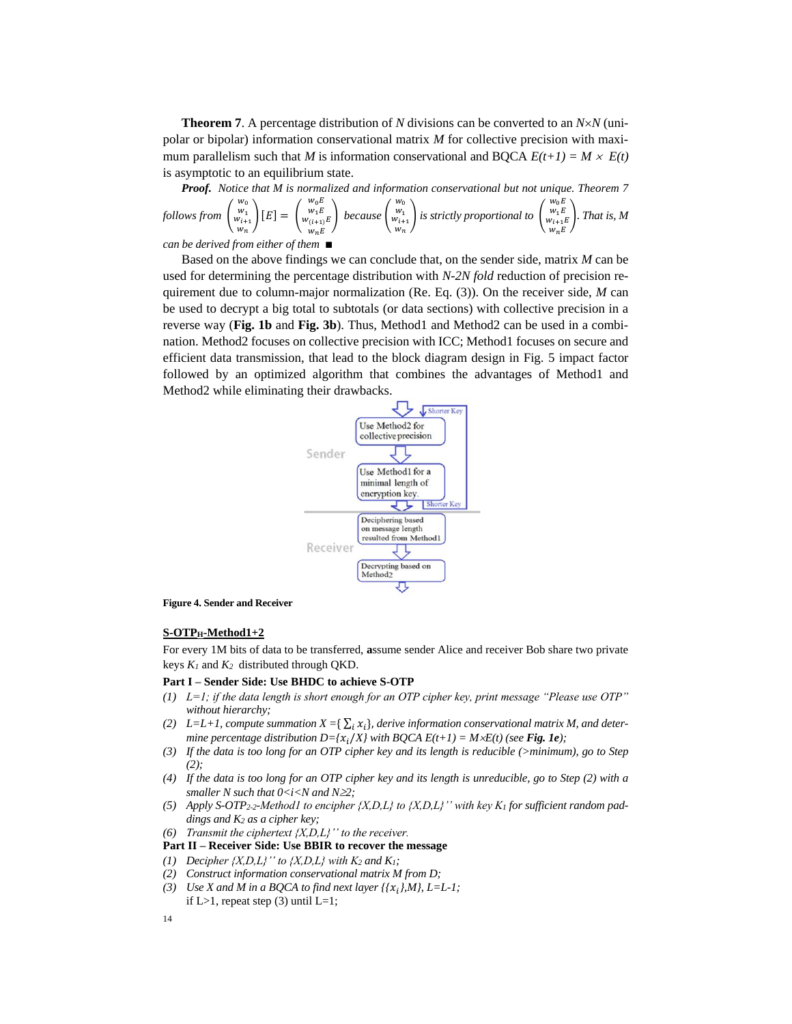**Theorem 7**. A percentage distribution of *N* divisions can be converted to an *NN* (unipolar or bipolar) information conservational matrix *M* for collective precision with maximum parallelism such that *M* is information conservational and BQCA  $E(t+1) = M \times E(t)$ is asymptotic to an equilibrium state.

*Proof. Notice that M is normalized and information conservational but not unique. Theorem 7 follows from* (  $\begin{array}{c} w_0 \\ w_1 \\ w_{i+1} \\ w_n \end{array}$  $[E] =$  (  $\begin{array}{c} w_0 E \\ w_1 E \\ w_{(i+1)} E \end{array}$  $w_n E$ ) *because* (  $\begin{array}{c} w_0 \\ w_1 \\ w_{i+1} \\ w_n \end{array}$ ) *is strictly proportional to* (  $\begin{array}{c} w_0 E \\ w_1 E \\ w_{i+1} E \\ w_n E \end{array}$ ). *That is, M can be derived from either of them* ∎

Based on the above findings we can conclude that, on the sender side, matrix *M* can be used for determining the percentage distribution with *N-2N fold* reduction of precision requirement due to column-major normalization (Re. Eq. (3)). On the receiver side, *M* can be used to decrypt a big total to subtotals (or data sections) with collective precision in a reverse way (**Fig. 1b** and **Fig. 3b**). Thus, Method1 and Method2 can be used in a combination. Method2 focuses on collective precision with ICC; Method1 focuses on secure and efficient data transmission, that lead to the block diagram design in Fig. 5 impact factor followed by an optimized algorithm that combines the advantages of Method1 and Method2 while eliminating their drawbacks.



**Figure 4. Sender and Receiver**

#### **S-OTPH-Method1+2**

For every 1M bits of data to be transferred, **a**ssume sender Alice and receiver Bob share two private keys *K<sup>1</sup>* and *K<sup>2</sup>* distributed through QKD.

#### **Part I – Sender Side: Use BHDC to achieve S-OTP**

- *(1) L=1; if the data length is short enough for an OTP cipher key, print message "Please use OTP" without hierarchy;*
- *(2)*  $L=L+1$ , compute summation  $X = \sum_i x_i$ , derive information conservational matrix M, and deter*mine percentage distribution D={* $\chi_i$ */X} with BQCA E(t+1) = M* $\times$ *E(t) (see Fig. 1e);*
- *(3) If the data is too long for an OTP cipher key and its length is reducible (>minimum), go to Step (2);*
- *(4) If the data is too long for an OTP cipher key and its length is unreducible, go to Step (2) with a smaller N such that 0<i<N and N2;*
- *(5) Apply S-OTP2-2-Method1 to encipher {X,D,L} to {X,D,L}'' with key K<sup>1</sup> for sufficient random paddings and K<sup>2</sup> as a cipher key;*
- *(6) Transmit the ciphertext*  ${X,D,L}$ *'' to the receiver.*
- **Part II – Receiver Side: Use BBIR to recover the message**
- *(1) Decipher*  $\{X,D,L\}$ " *to*  $\{X,D,L\}$  *with*  $K_2$  *and*  $K_1$ ;
- *(2) Construct information conservational matrix M from D;*
- *(3) Use X and M in a BQCA to find next layer*  $\{ \{x_i\}, M \}$ *, L=L-1;* if L>1, repeat step  $(3)$  until L=1;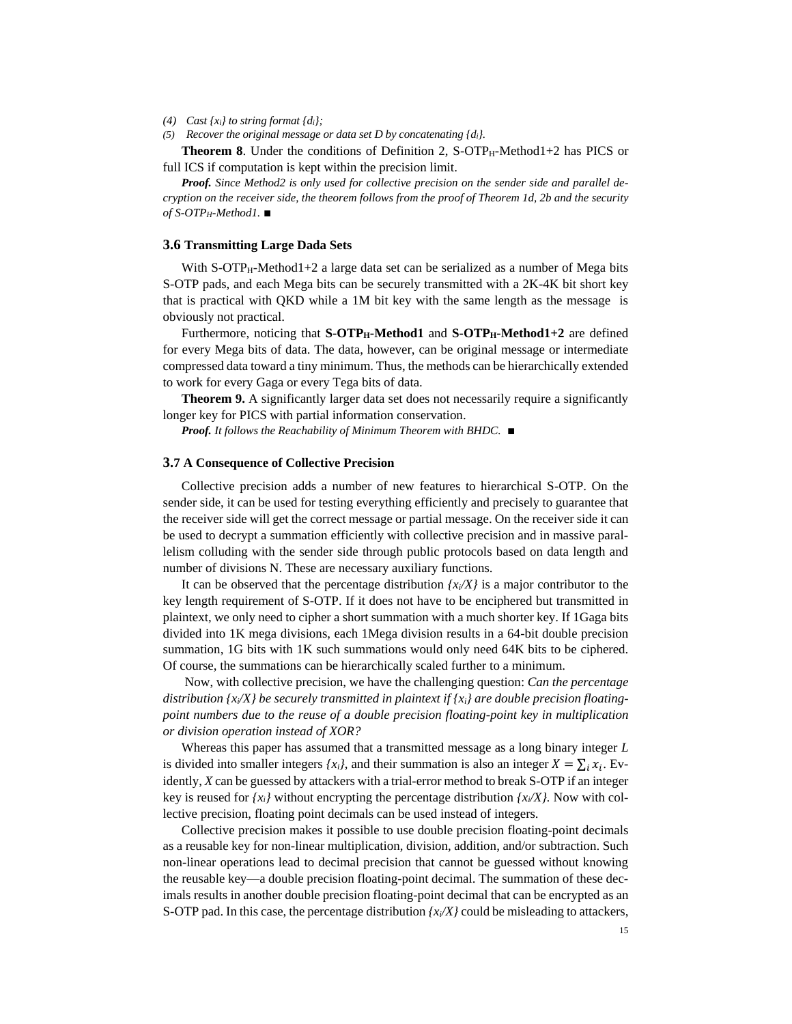- *(4) Cast {xi} to string format {di};*
- *(5) Recover the original message or data set D by concatenating {di}.*

**Theorem 8.** Under the conditions of Definition 2,  $S\text{-}OTP_H\text{-}Method1+2$  has PICS or full ICS if computation is kept within the precision limit.

*Proof.* Since Method2 is only used for collective precision on the sender side and parallel de*cryption on the receiver side, the theorem follows from the proof of Theorem 1d, 2b and the security of S-OTPH-Method1.* ∎

#### **3.6 Transmitting Large Dada Sets**

With  $S-OTP_H-Method1+2$  a large data set can be serialized as a number of Mega bits S-OTP pads, and each Mega bits can be securely transmitted with a 2K-4K bit short key that is practical with QKD while a 1M bit key with the same length as the message is obviously not practical.

Furthermore, noticing that **S-OTPH-Method1** and **S-OTPH-Method1+2** are defined for every Mega bits of data. The data, however, can be original message or intermediate compressed data toward a tiny minimum. Thus, the methods can be hierarchically extended to work for every Gaga or every Tega bits of data.

**Theorem 9.** A significantly larger data set does not necessarily require a significantly longer key for PICS with partial information conservation.

*Proof. It follows the Reachability of Minimum Theorem with BHDC.* ■

#### **3.7 A Consequence of Collective Precision**

Collective precision adds a number of new features to hierarchical S-OTP. On the sender side, it can be used for testing everything efficiently and precisely to guarantee that the receiver side will get the correct message or partial message. On the receiver side it can be used to decrypt a summation efficiently with collective precision and in massive parallelism colluding with the sender side through public protocols based on data length and number of divisions N. These are necessary auxiliary functions.

It can be observed that the percentage distribution  $\frac{f^2}{X}$  is a major contributor to the key length requirement of S-OTP. If it does not have to be enciphered but transmitted in plaintext, we only need to cipher a short summation with a much shorter key. If 1Gaga bits divided into 1K mega divisions, each 1Mega division results in a 64-bit double precision summation, 1G bits with 1K such summations would only need 64K bits to be ciphered. Of course, the summations can be hierarchically scaled further to a minimum.

Now, with collective precision, we have the challenging question: *Can the percentage distribution {xi/X} be securely transmitted in plaintext if {xi} are double precision floatingpoint numbers due to the reuse of a double precision floating-point key in multiplication or division operation instead of XOR?*

Whereas this paper has assumed that a transmitted message as a long binary integer *L* is divided into smaller integers  $\{x_i\}$ , and their summation is also an integer  $X = \sum_i x_i$ . Evidently, *X* can be guessed by attackers with a trial-error method to break S-OTP if an integer key is reused for  $\{x_i\}$  without encrypting the percentage distribution  $\{x_i/X\}$ . Now with collective precision, floating point decimals can be used instead of integers.

Collective precision makes it possible to use double precision floating-point decimals as a reusable key for non-linear multiplication, division, addition, and/or subtraction. Such non-linear operations lead to decimal precision that cannot be guessed without knowing the reusable key—a double precision floating-point decimal. The summation of these decimals results in another double precision floating-point decimal that can be encrypted as an S-OTP pad. In this case, the percentage distribution  $\frac{x}{X}$  could be misleading to attackers,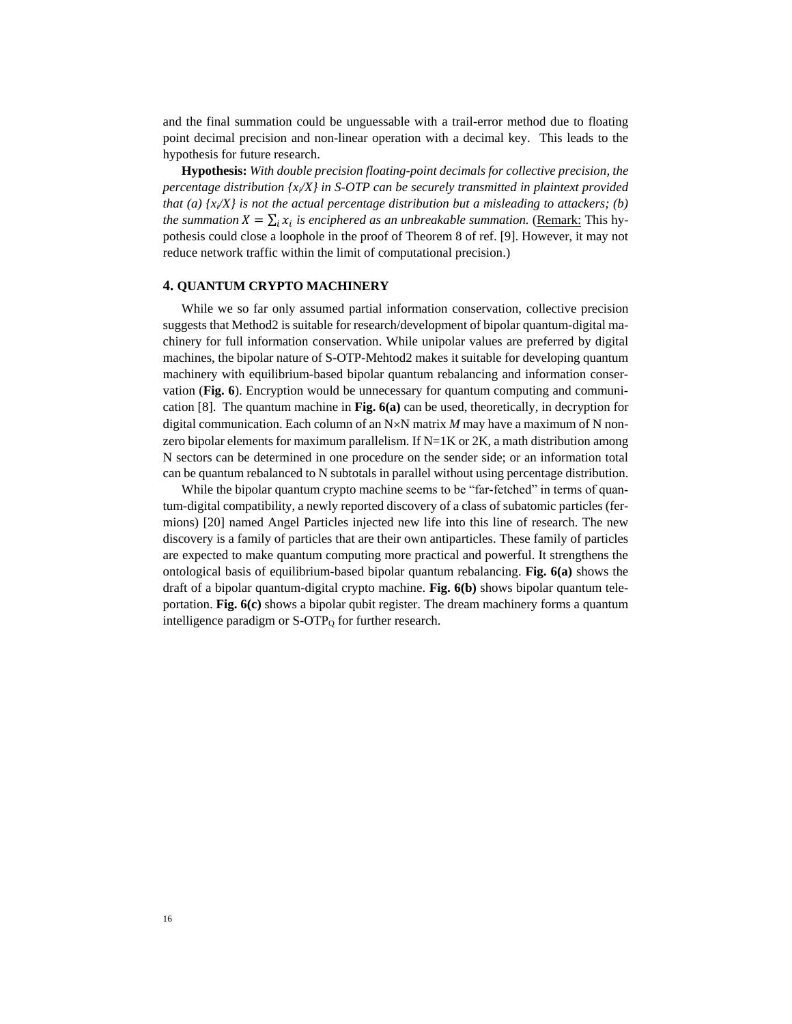and the final summation could be unguessable with a trail-error method due to floating point decimal precision and non-linear operation with a decimal key. This leads to the hypothesis for future research.

**Hypothesis:** *With double precision floating-point decimals for collective precision, the percentage distribution {xi/X} in S-OTP can be securely transmitted in plaintext provided that (a) {xi/X} is not the actual percentage distribution but a misleading to attackers; (b) the summation*  $X = \sum_i x_i$  *is enciphered as an unbreakable summation.* (*Remark: This hy*pothesis could close a loophole in the proof of Theorem 8 of ref. [9]. However, it may not reduce network traffic within the limit of computational precision.)

#### **4. QUANTUM CRYPTO MACHINERY**

While we so far only assumed partial information conservation, collective precision suggests that Method2 is suitable for research/development of bipolar quantum-digital machinery for full information conservation. While unipolar values are preferred by digital machines, the bipolar nature of S-OTP-Mehtod2 makes it suitable for developing quantum machinery with equilibrium-based bipolar quantum rebalancing and information conservation (**Fig. 6**). Encryption would be unnecessary for quantum computing and communication [8]. The quantum machine in **Fig. 6(a)** can be used, theoretically, in decryption for digital communication. Each column of an  $N\times N$  matrix *M* may have a maximum of N nonzero bipolar elements for maximum parallelism. If  $N=1K$  or 2K, a math distribution among N sectors can be determined in one procedure on the sender side; or an information total can be quantum rebalanced to N subtotals in parallel without using percentage distribution.

While the bipolar quantum crypto machine seems to be "far-fetched" in terms of quantum-digital compatibility, a newly reported discovery of a class of subatomic particles (fermions) [20] named Angel Particles injected new life into this line of research. The new discovery is a family of particles that are their own antiparticles. These family of particles are expected to make quantum computing more practical and powerful. It strengthens the ontological basis of equilibrium-based bipolar quantum rebalancing. **Fig. 6(a)** shows the draft of a bipolar quantum-digital crypto machine. **Fig. 6(b)** shows bipolar quantum teleportation. **Fig. 6(c)** shows a bipolar qubit register. The dream machinery forms a quantum intelligence paradigm or  $S$ -OTP<sub>0</sub> for further research.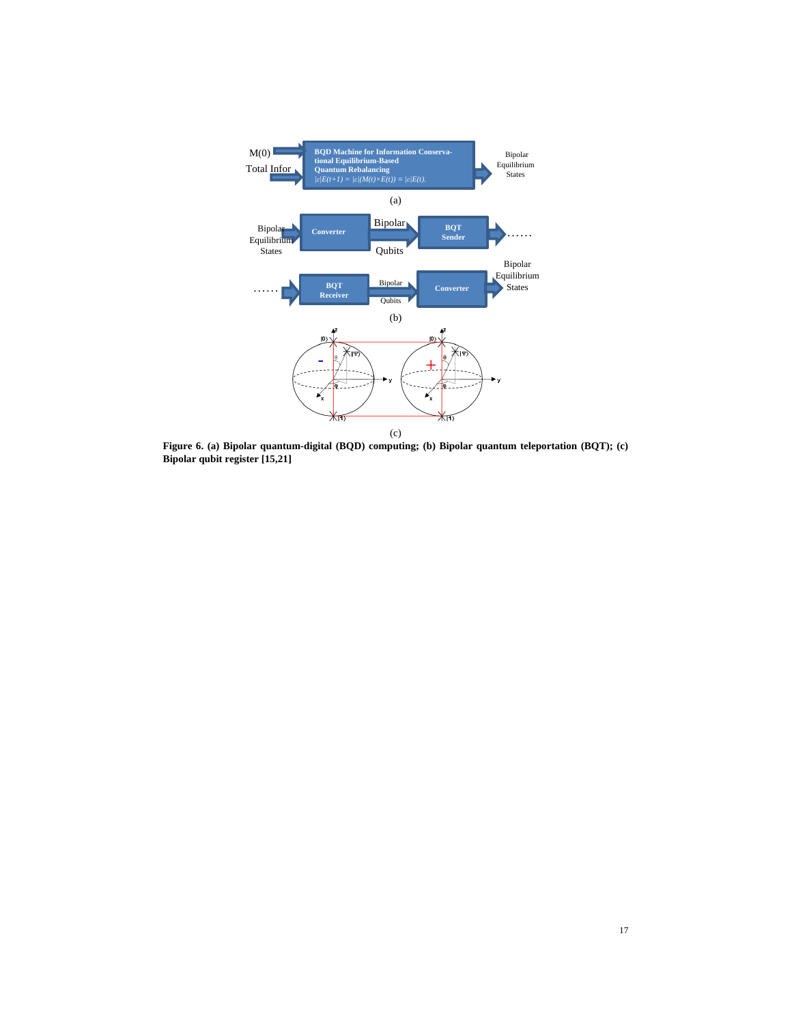

**Figure 6. (a) Bipolar quantum-digital (BQD) computing; (b) Bipolar quantum teleportation (BQT); (c) Bipolar qubit register [15,21]**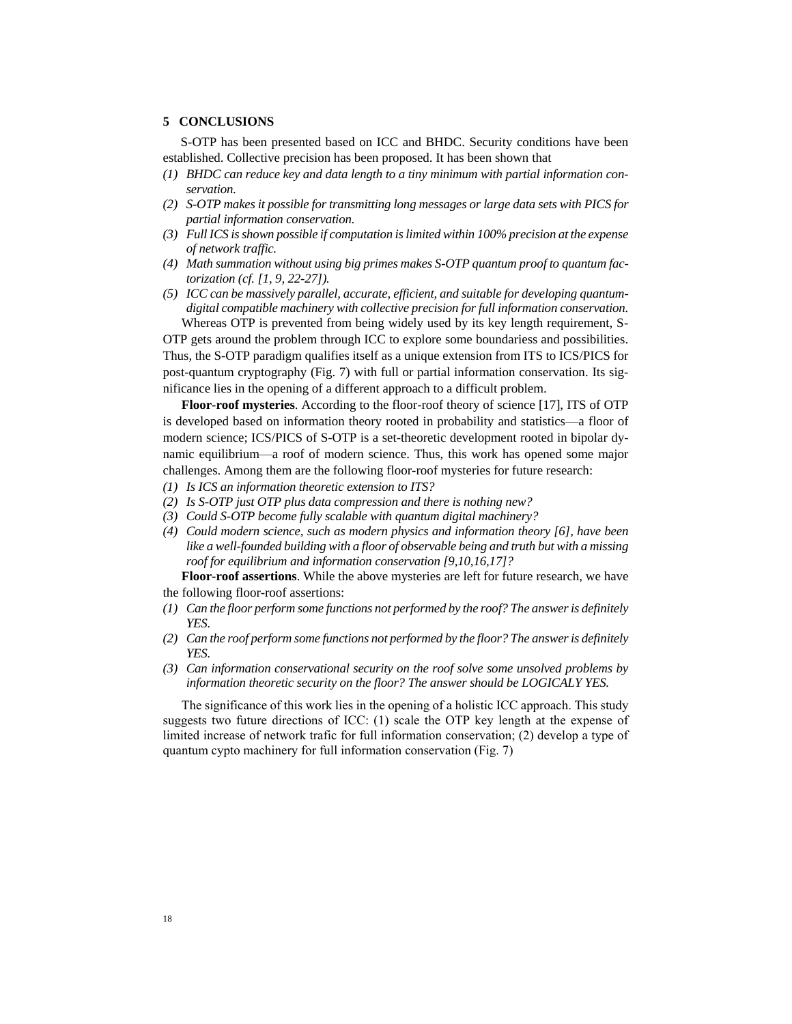# **5 CONCLUSIONS**

S-OTP has been presented based on ICC and BHDC. Security conditions have been established. Collective precision has been proposed. It has been shown that

- *(1) BHDC can reduce key and data length to a tiny minimum with partial information conservation.*
- *(2) S-OTP makes it possible for transmitting long messages or large data sets with PICS for partial information conservation.*
- *(3) Full ICS is shown possible if computation is limited within 100% precision at the expense of network traffic.*
- *(4) Math summation without using big primes makes S-OTP quantum proof to quantum factorization (cf. [1, 9, 22-27]).*
- *(5) ICC can be massively parallel, accurate, efficient, and suitable for developing quantumdigital compatible machinery with collective precision for full information conservation.* Whereas OTP is prevented from being widely used by its key length requirement, S-

OTP gets around the problem through ICC to explore some boundariess and possibilities. Thus, the S-OTP paradigm qualifies itself as a unique extension from ITS to ICS/PICS for post-quantum cryptography (Fig. 7) with full or partial information conservation. Its significance lies in the opening of a different approach to a difficult problem.

**Floor-roof mysteries**. According to the floor-roof theory of science [17], ITS of OTP is developed based on information theory rooted in probability and statistics—a floor of modern science; ICS/PICS of S-OTP is a set-theoretic development rooted in bipolar dynamic equilibrium—a roof of modern science. Thus, this work has opened some major challenges. Among them are the following floor-roof mysteries for future research:

- *(1) Is ICS an information theoretic extension to ITS?*
- *(2) Is S-OTP just OTP plus data compression and there is nothing new?*
- *(3) Could S-OTP become fully scalable with quantum digital machinery?*
- *(4) Could modern science, such as modern physics and information theory [6], have been like a well-founded building with a floor of observable being and truth but with a missing roof for equilibrium and information conservation [9,10,16,17]?*

**Floor-roof assertions**. While the above mysteries are left for future research, we have the following floor-roof assertions:

- *(1) Can the floor perform some functions not performed by the roof? The answer is definitely YES.*
- *(2) Can the roof perform some functions not performed by the floor? The answer is definitely YES.*
- *(3) Can information conservational security on the roof solve some unsolved problems by information theoretic security on the floor? The answer should be LOGICALY YES.*

The significance of this work lies in the opening of a holistic ICC approach. This study suggests two future directions of ICC: (1) scale the OTP key length at the expense of limited increase of network trafic for full information conservation; (2) develop a type of quantum cypto machinery for full information conservation (Fig. 7)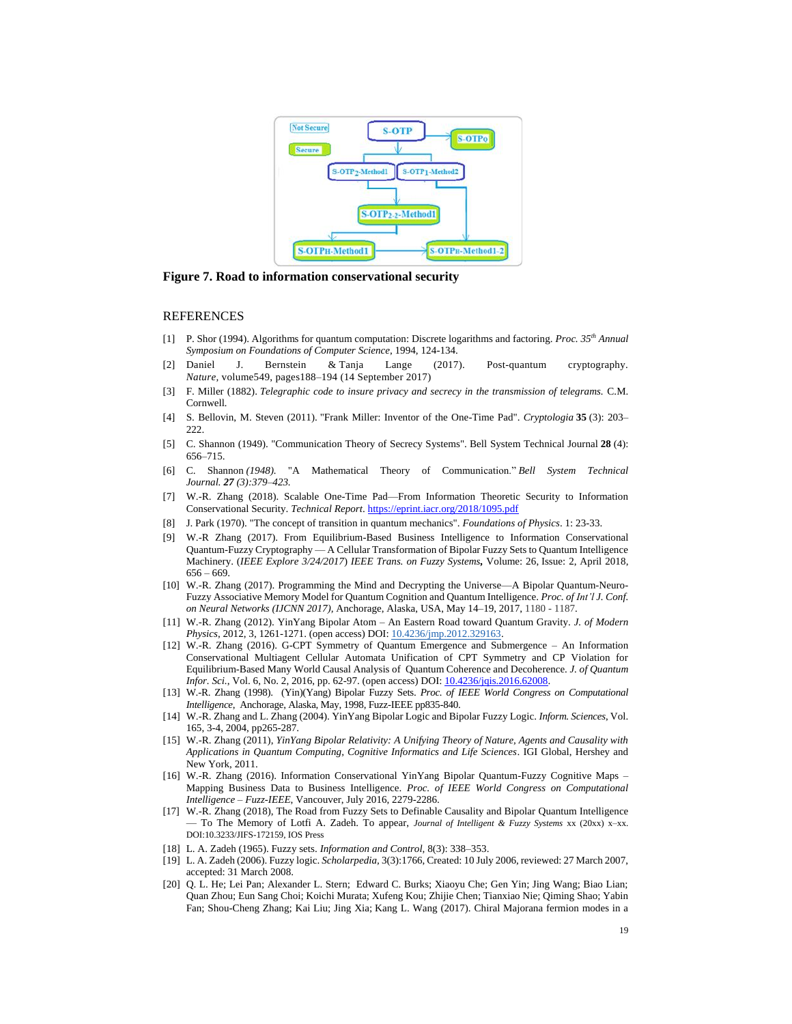

**Figure 7. Road to information conservational security**

#### **REFERENCES**

- [1] P. Shor (1994). Algorithms for quantum computation: Discrete logarithms and factoring. *Proc. 35th Annual Symposium on Foundations of Computer Science*, 1994, 124-134.
- [2] Daniel J. Bernstein & Tanja Lange (2017). Post-quantum cryptography. *Nature,* volume549, pages188–194 (14 September 2017)
- [3] F. Miller (1882). *Telegraphic code to insure privacy and secrecy in the transmission of telegrams.* C.M. Cornwell*.*
- [4] S. Bellovin, M. Steven (2011). "Frank Miller: Inventor of the One-Time Pad". *Cryptologia* **35** (3): 203– 222.
- [5] C. Shannon (1949). "Communication Theory of Secrecy Systems". Bell System Technical Journal **28** (4): 656–715.
- [6] C. Shannon *(1948).* "A Mathematical Theory of Communication." *Bell System Technical Journal. 27 (3):379–423.*
- [7] W.-R. Zhang (2018). Scalable One-Time Pad—From Information Theoretic Security to Information Conservational Security. *Technical Report*[. https://eprint.iacr.org/2018/1095.pdf](https://eprint.iacr.org/2018/1095.pdf)
- [8] J. Park (1970). "The concept of transition in quantum mechanics". *Foundations of Physics*. 1: 23-33.
- [9] W.-R Zhang (2017). From Equilibrium-Based Business Intelligence to Information Conservational Quantum-Fuzzy Cryptography — A Cellular Transformation of Bipolar Fuzzy Sets to Quantum Intelligence Machinery. (*IEEE Explore 3/24/2017*) *IEEE Trans. on Fuzzy Systems,* Volume: 26, Issue: 2, April 2018, 656 – 669.
- [10] W.-R. Zhang (2017). Programming the Mind and Decrypting the Universe—A Bipolar Quantum-Neuro-Fuzzy Associative Memory Model for Quantum Cognition and Quantum Intelligence. *Proc. of Int'l J. Conf. on Neural Networks (IJCNN 2017),* Anchorage, Alaska, USA, May 14–19, 2017, 1180 - 1187.
- [11] W.-R. Zhang (2012). YinYang Bipolar Atom An Eastern Road toward Quantum Gravity. *J. of Modern Physics*, 2012, 3, 1261-1271. (open access) DOI: [10.4236/jmp.2012.329163.](http://dx.doi.org/10.4236/jmp.2012.329163)
- [12] W.-R. Zhang (2016). G-CPT Symmetry of Quantum Emergence and Submergence An Information Conservational Multiagent Cellular Automata Unification of CPT Symmetry and CP Violation for Equilibrium-Based Many World Causal Analysis of Quantum Coherence and Decoherence. *J. of Quantum Infor. Sci.*, Vol. 6, No. 2, 2016, pp. 62-97. (open access) DOI: 10.4236/jqis.2016.62008.
- [13] W.-R. Zhang (1998). (Yin)(Yang) Bipolar Fuzzy Sets. *Proc. of IEEE World Congress on Computational Intelligence*, Anchorage, Alaska, May, 1998, Fuzz-IEEE pp835-840.
- [14] W.-R. Zhang and L. Zhang (2004). YinYang Bipolar Logic and Bipolar Fuzzy Logic. *Inform. Sciences*, Vol. 165, 3-4, 2004, pp265-287.
- [15] W.-R. Zhang (2011), *YinYang Bipolar Relativity: A Unifying Theory of Nature, Agents and Causality with Applications in Quantum Computing, Cognitive Informatics and Life Sciences*. IGI Global, Hershey and New York, 2011.
- [16] W.-R. Zhang (2016). Information Conservational YinYang Bipolar Quantum-Fuzzy Cognitive Maps Mapping Business Data to Business Intelligence. *Proc. of IEEE World Congress on Computational Intelligence* – *Fuzz-IEEE*, Vancouver, July 2016, 2279-2286.
- [17] W.-R. Zhang (2018), The Road from Fuzzy Sets to Definable Causality and Bipolar Quantum Intelligence — To The Memory of Lotfi A. Zadeh. To appear, *Journal of Intelligent & Fuzzy Systems* xx (20xx) x–xx. DOI:10.3233/JIFS-172159, IOS Press
- [18] L. A. Zadeh (1965). Fuzzy sets. *Information and Control,* 8(3): 338–353.
- [19] L. A. Zadeh (2006). Fuzzy logic. *Scholarpedia,* 3(3):1766, Created: 10 July 2006, reviewed: 27 March 2007, accepted: 31 March 2008.
- [20] Q. L. He; Lei Pan; Alexander L. Stern; Edward C. Burks; Xiaoyu Che; Gen Yin; Jing Wang; Biao Lian; Quan Zhou; Eun Sang Choi; Koichi Murata; Xufeng Kou; Zhijie Chen; Tianxiao Nie; Qiming Shao; Yabin Fan; Shou-Cheng Zhang; Kai Liu; Jing Xia; Kang L. Wang (2017). Chiral Majorana fermion modes in a